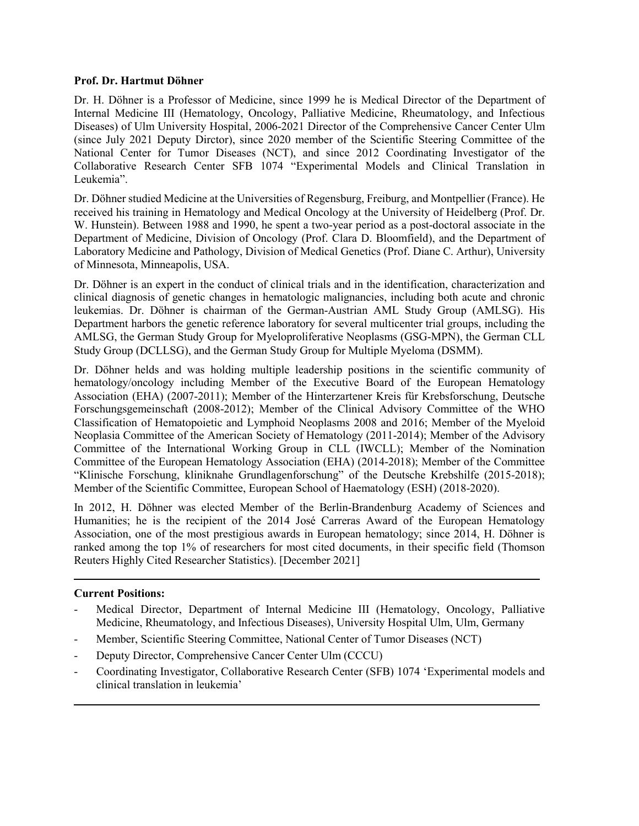## **Prof. Dr. Hartmut Döhner**

Dr. H. Döhner is a Professor of Medicine, since 1999 he is Medical Director of the Department of Internal Medicine III (Hematology, Oncology, Palliative Medicine, Rheumatology, and Infectious Diseases) of Ulm University Hospital, 2006-2021 Director of the Comprehensive Cancer Center Ulm (since July 2021 Deputy Dirctor), since 2020 member of the Scientific Steering Committee of the National Center for Tumor Diseases (NCT), and since 2012 Coordinating Investigator of the Collaborative Research Center SFB 1074 "Experimental Models and Clinical Translation in Leukemia".

Dr. Döhner studied Medicine at the Universities of Regensburg, Freiburg, and Montpellier (France). He received his training in Hematology and Medical Oncology at the University of Heidelberg (Prof. Dr. W. Hunstein). Between 1988 and 1990, he spent a two-year period as a post-doctoral associate in the Department of Medicine, Division of Oncology (Prof. Clara D. Bloomfield), and the Department of Laboratory Medicine and Pathology, Division of Medical Genetics (Prof. Diane C. Arthur), University of Minnesota, Minneapolis, USA.

Dr. Döhner is an expert in the conduct of clinical trials and in the identification, characterization and clinical diagnosis of genetic changes in hematologic malignancies, including both acute and chronic leukemias. Dr. Döhner is chairman of the German-Austrian AML Study Group (AMLSG). His Department harbors the genetic reference laboratory for several multicenter trial groups, including the AMLSG, the German Study Group for Myeloproliferative Neoplasms (GSG-MPN), the German CLL Study Group (DCLLSG), and the German Study Group for Multiple Myeloma (DSMM).

Dr. Döhner helds and was holding multiple leadership positions in the scientific community of hematology/oncology including Member of the Executive Board of the European Hematology Association (EHA) (2007-2011); Member of the Hinterzartener Kreis für Krebsforschung, Deutsche Forschungsgemeinschaft (2008-2012); Member of the Clinical Advisory Committee of the WHO Classification of Hematopoietic and Lymphoid Neoplasms 2008 and 2016; Member of the Myeloid Neoplasia Committee of the American Society of Hematology (2011-2014); Member of the Advisory Committee of the International Working Group in CLL (IWCLL); Member of the Nomination Committee of the European Hematology Association (EHA) (2014-2018); Member of the Committee "Klinische Forschung, kliniknahe Grundlagenforschung" of the Deutsche Krebshilfe (2015-2018); Member of the Scientific Committee, European School of Haematology (ESH) (2018-2020).

In 2012, H. Döhner was elected Member of the Berlin-Brandenburg Academy of Sciences and Humanities; he is the recipient of the 2014 José Carreras Award of the European Hematology Association, one of the most prestigious awards in European hematology; since 2014, H. Döhner is ranked among the top 1% of researchers for most cited documents, in their specific field (Thomson Reuters Highly Cited Researcher Statistics). [December 2021]

## **Current Positions:**

- Medical Director, Department of Internal Medicine III (Hematology, Oncology, Palliative Medicine, Rheumatology, and Infectious Diseases), University Hospital Ulm, Ulm, Germany
- Member, Scientific Steering Committee, National Center of Tumor Diseases (NCT)
- Deputy Director, Comprehensive Cancer Center Ulm (CCCU)
- Coordinating Investigator, Collaborative Research Center (SFB) 1074 'Experimental models and clinical translation in leukemia'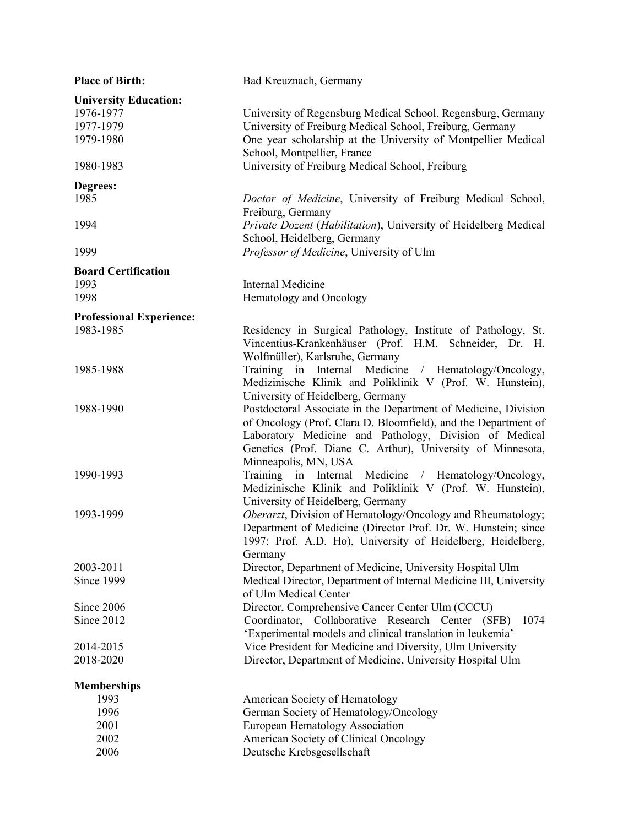| <b>Place of Birth:</b>          | Bad Kreuznach, Germany                                                             |
|---------------------------------|------------------------------------------------------------------------------------|
| <b>University Education:</b>    |                                                                                    |
| 1976-1977                       | University of Regensburg Medical School, Regensburg, Germany                       |
| 1977-1979                       | University of Freiburg Medical School, Freiburg, Germany                           |
| 1979-1980                       | One year scholarship at the University of Montpellier Medical                      |
|                                 | School, Montpellier, France                                                        |
| 1980-1983                       | University of Freiburg Medical School, Freiburg                                    |
| Degrees:                        |                                                                                    |
| 1985                            | Doctor of Medicine, University of Freiburg Medical School,                         |
|                                 | Freiburg, Germany                                                                  |
| 1994                            | Private Dozent (Habilitation), University of Heidelberg Medical                    |
|                                 | School, Heidelberg, Germany                                                        |
| 1999                            | Professor of Medicine, University of Ulm                                           |
| <b>Board Certification</b>      |                                                                                    |
| 1993                            | Internal Medicine                                                                  |
| 1998                            | Hematology and Oncology                                                            |
| <b>Professional Experience:</b> |                                                                                    |
| 1983-1985                       | Residency in Surgical Pathology, Institute of Pathology, St.                       |
|                                 | Vincentius-Krankenhäuser (Prof. H.M. Schneider, Dr. H.                             |
|                                 | Wolfmüller), Karlsruhe, Germany                                                    |
| 1985-1988                       | Training in Internal Medicine / Hematology/Oncology,                               |
|                                 | Medizinische Klinik and Poliklinik V (Prof. W. Hunstein),                          |
|                                 | University of Heidelberg, Germany                                                  |
| 1988-1990                       | Postdoctoral Associate in the Department of Medicine, Division                     |
|                                 | of Oncology (Prof. Clara D. Bloomfield), and the Department of                     |
|                                 | Laboratory Medicine and Pathology, Division of Medical                             |
|                                 | Genetics (Prof. Diane C. Arthur), University of Minnesota,<br>Minneapolis, MN, USA |
| 1990-1993                       | Training in Internal Medicine / Hematology/Oncology,                               |
|                                 | Medizinische Klinik and Poliklinik V (Prof. W. Hunstein),                          |
|                                 | University of Heidelberg, Germany                                                  |
| 1993-1999                       | Oberarzt, Division of Hematology/Oncology and Rheumatology;                        |
|                                 | Department of Medicine (Director Prof. Dr. W. Hunstein; since                      |
|                                 | 1997: Prof. A.D. Ho), University of Heidelberg, Heidelberg,                        |
|                                 | Germany                                                                            |
| 2003-2011                       | Director, Department of Medicine, University Hospital Ulm                          |
| Since 1999                      | Medical Director, Department of Internal Medicine III, University                  |
|                                 | of Ulm Medical Center                                                              |
| Since 2006                      | Director, Comprehensive Cancer Center Ulm (CCCU)                                   |
| Since 2012                      | Coordinator, Collaborative Research Center (SFB)<br>1074                           |
|                                 | 'Experimental models and clinical translation in leukemia'                         |
| 2014-2015                       | Vice President for Medicine and Diversity, Ulm University                          |
| 2018-2020                       | Director, Department of Medicine, University Hospital Ulm                          |
| <b>Memberships</b>              |                                                                                    |
| 1993                            | American Society of Hematology                                                     |
| 1996                            | German Society of Hematology/Oncology                                              |
| 2001                            | European Hematology Association                                                    |
| 2002                            | American Society of Clinical Oncology                                              |
| 2006                            | Deutsche Krebsgesellschaft                                                         |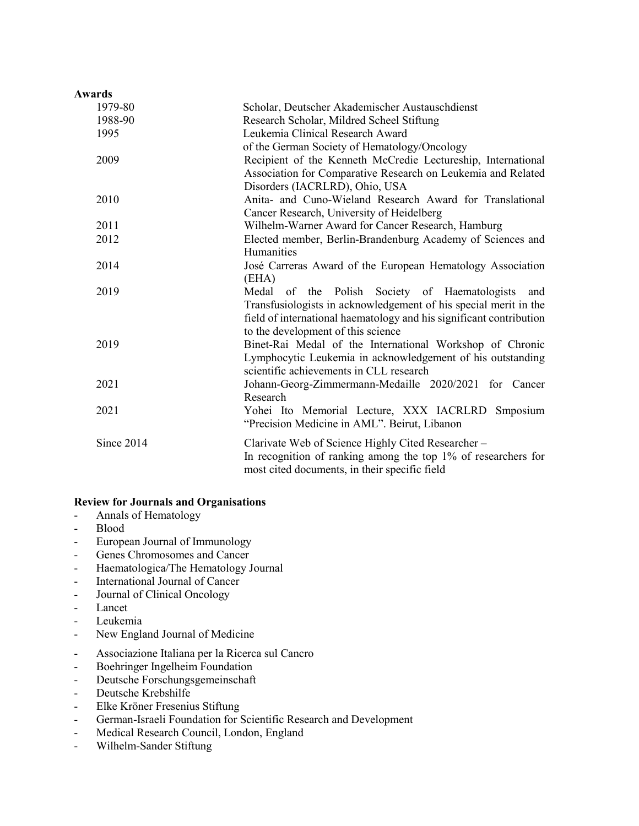| <b>Awards</b> |                                                                                                                                                                                                                                    |
|---------------|------------------------------------------------------------------------------------------------------------------------------------------------------------------------------------------------------------------------------------|
| 1979-80       | Scholar, Deutscher Akademischer Austauschdienst                                                                                                                                                                                    |
| 1988-90       | Research Scholar, Mildred Scheel Stiftung                                                                                                                                                                                          |
| 1995          | Leukemia Clinical Research Award                                                                                                                                                                                                   |
|               | of the German Society of Hematology/Oncology                                                                                                                                                                                       |
| 2009          | Recipient of the Kenneth McCredie Lectureship, International<br>Association for Comparative Research on Leukemia and Related<br>Disorders (IACRLRD), Ohio, USA                                                                     |
| 2010          | Anita- and Cuno-Wieland Research Award for Translational                                                                                                                                                                           |
|               | Cancer Research, University of Heidelberg                                                                                                                                                                                          |
| 2011          | Wilhelm-Warner Award for Cancer Research, Hamburg                                                                                                                                                                                  |
| 2012          | Elected member, Berlin-Brandenburg Academy of Sciences and                                                                                                                                                                         |
|               | Humanities                                                                                                                                                                                                                         |
| 2014          | José Carreras Award of the European Hematology Association                                                                                                                                                                         |
|               | (EHA)                                                                                                                                                                                                                              |
| 2019          | Medal of the Polish Society of Haematologists and<br>Transfusiologists in acknowledgement of his special merit in the<br>field of international haematology and his significant contribution<br>to the development of this science |
| 2019          | Binet-Rai Medal of the International Workshop of Chronic                                                                                                                                                                           |
|               | Lymphocytic Leukemia in acknowledgement of his outstanding<br>scientific achievements in CLL research                                                                                                                              |
| 2021          | Johann-Georg-Zimmermann-Medaille 2020/2021 for Cancer                                                                                                                                                                              |
|               | Research                                                                                                                                                                                                                           |
| 2021          | Yohei Ito Memorial Lecture, XXX IACRLRD Smposium<br>"Precision Medicine in AML". Beirut, Libanon                                                                                                                                   |
| Since 2014    | Clarivate Web of Science Highly Cited Researcher -<br>In recognition of ranking among the top 1% of researchers for<br>most cited documents, in their specific field                                                               |

## **Review for Journals and Organisations**

- Annals of Hematology
- Blood
- European Journal of Immunology
- Genes Chromosomes and Cancer
- Haematologica/The Hematology Journal
- International Journal of Cancer
- Journal of Clinical Oncology
- Lancet
- Leukemia
- New England Journal of Medicine
- Associazione Italiana per la Ricerca sul Cancro
- Boehringer Ingelheim Foundation
- Deutsche Forschungsgemeinschaft
- Deutsche Krebshilfe
- Elke Kröner Fresenius Stiftung
- German-Israeli Foundation for Scientific Research and Development
- Medical Research Council, London, England
- Wilhelm-Sander Stiftung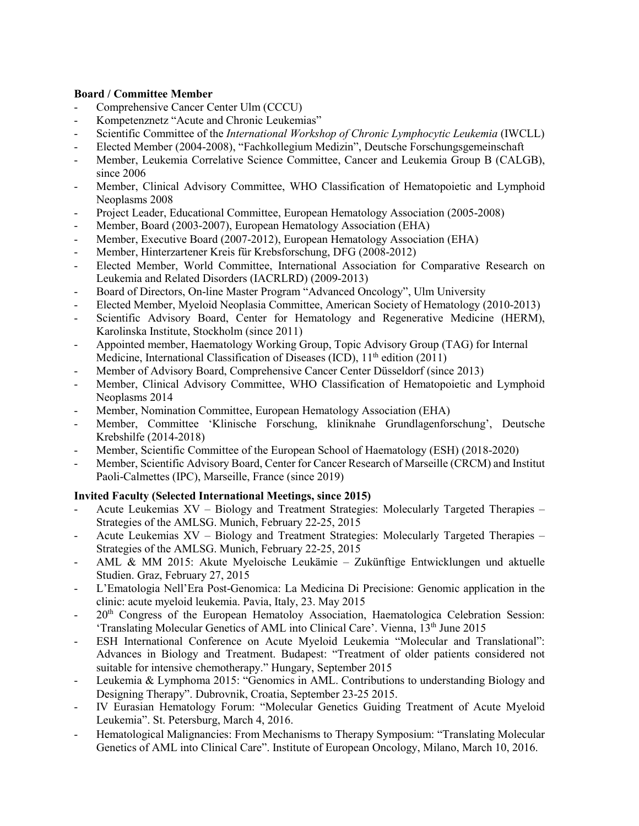## **Board / Committee Member**

- Comprehensive Cancer Center Ulm (CCCU)
- Kompetenznetz "Acute and Chronic Leukemias"
- Scientific Committee of the *International Workshop of Chronic Lymphocytic Leukemia* (IWCLL)
- Elected Member (2004-2008), "Fachkollegium Medizin", Deutsche Forschungsgemeinschaft
- Member, Leukemia Correlative Science Committee, Cancer and Leukemia Group B (CALGB), since 2006
- Member, Clinical Advisory Committee, WHO Classification of Hematopoietic and Lymphoid Neoplasms 2008
- Project Leader, Educational Committee, European Hematology Association (2005-2008)
- Member, Board (2003-2007), European Hematology Association (EHA)
- Member, Executive Board (2007-2012), European Hematology Association (EHA)
- Member, Hinterzartener Kreis für Krebsforschung, DFG (2008-2012)
- Elected Member, World Committee, International Association for Comparative Research on Leukemia and Related Disorders (IACRLRD) (2009-2013)
- Board of Directors, On-line Master Program "Advanced Oncology", Ulm University
- Elected Member, Myeloid Neoplasia Committee, American Society of Hematology (2010-2013)
- Scientific Advisory Board, Center for Hematology and Regenerative Medicine (HERM), Karolinska Institute, Stockholm (since 2011)
- Appointed member, Haematology Working Group, Topic Advisory Group (TAG) for Internal Medicine, International Classification of Diseases (ICD), 11<sup>th</sup> edition (2011)
- Member of Advisory Board, Comprehensive Cancer Center Düsseldorf (since 2013)
- Member, Clinical Advisory Committee, WHO Classification of Hematopoietic and Lymphoid Neoplasms 2014
- Member, Nomination Committee, European Hematology Association (EHA)
- Member, Committee 'Klinische Forschung, kliniknahe Grundlagenforschung', Deutsche Krebshilfe (2014-2018)
- Member, Scientific Committee of the European School of Haematology (ESH) (2018-2020)
- Member, Scientific Advisory Board, Center for Cancer Research of Marseille (CRCM) and Institut Paoli-Calmettes (IPC), Marseille, France (since 2019)

# **Invited Faculty (Selected International Meetings, since 2015)**

- Acute Leukemias XV Biology and Treatment Strategies: Molecularly Targeted Therapies Strategies of the AMLSG. Munich, February 22-25, 2015
- Acute Leukemias XV Biology and Treatment Strategies: Molecularly Targeted Therapies Strategies of the AMLSG. Munich, February 22-25, 2015
- AML & MM 2015: Akute Myeloische Leukämie Zukünftige Entwicklungen und aktuelle Studien. Graz, February 27, 2015
- L'Ematologia Nell'Era Post-Genomica: La Medicina Di Precisione: Genomic application in the clinic: acute myeloid leukemia. Pavia, Italy, 23. May 2015
- 20<sup>th</sup> Congress of the European Hematoloy Association, Haematologica Celebration Session: 'Translating Molecular Genetics of AML into Clinical Care'. Vienna, 13<sup>th</sup> June 2015
- ESH International Conference on Acute Myeloid Leukemia "Molecular and Translational": Advances in Biology and Treatment. Budapest: "Treatment of older patients considered not suitable for intensive chemotherapy." Hungary, September 2015
- Leukemia & Lymphoma 2015: "Genomics in AML. Contributions to understanding Biology and Designing Therapy". Dubrovnik, Croatia, September 23-25 2015.
- IV Eurasian Hematology Forum: "Molecular Genetics Guiding Treatment of Acute Myeloid Leukemia". St. Petersburg, March 4, 2016.
- Hematological Malignancies: From Mechanisms to Therapy Symposium: "Translating Molecular Genetics of AML into Clinical Care". Institute of European Oncology, Milano, March 10, 2016.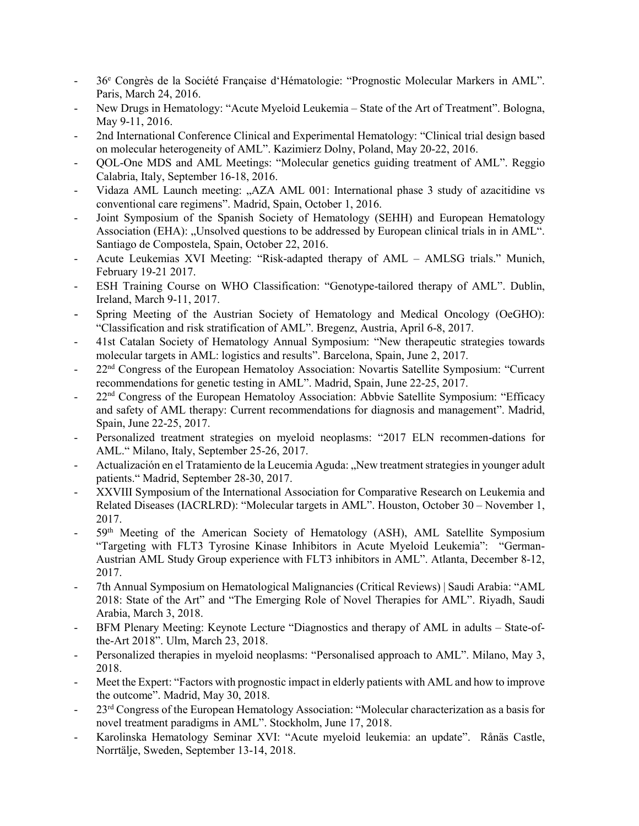- 36e Congrès de la Société Française d'Hématologie: "Prognostic Molecular Markers in AML". Paris, March 24, 2016.
- New Drugs in Hematology: "Acute Myeloid Leukemia State of the Art of Treatment". Bologna, May 9-11, 2016.
- 2nd International Conference Clinical and Experimental Hematology: "Clinical trial design based on molecular heterogeneity of AML". Kazimierz Dolny, Poland, May 20-22, 2016.
- QOL-One MDS and AML Meetings: "Molecular genetics guiding treatment of AML". Reggio Calabria, Italy, September 16-18, 2016.
- Vidaza AML Launch meeting: "AZA AML 001: International phase 3 study of azacitidine vs conventional care regimens". Madrid, Spain, October 1, 2016.
- Joint Symposium of the Spanish Society of Hematology (SEHH) and European Hematology Association (EHA): "Unsolved questions to be addressed by European clinical trials in in AML". Santiago de Compostela, Spain, October 22, 2016.
- Acute Leukemias XVI Meeting: "Risk-adapted therapy of AML AMLSG trials." Munich, February 19-21 2017.
- ESH Training Course on WHO Classification: "Genotype-tailored therapy of AML". Dublin, Ireland, March 9-11, 2017.
- Spring Meeting of the Austrian Society of Hematology and Medical Oncology (OeGHO): "Classification and risk stratification of AML". Bregenz, Austria, April 6-8, 2017.
- 41st Catalan Society of Hematology Annual Symposium: "New therapeutic strategies towards molecular targets in AML: logistics and results". Barcelona, Spain, June 2, 2017.
- 22<sup>nd</sup> Congress of the European Hematoloy Association: Novartis Satellite Symposium: "Current recommendations for genetic testing in AML". Madrid, Spain, June 22-25, 2017.
- 22<sup>nd</sup> Congress of the European Hematoloy Association: Abbvie Satellite Symposium: "Efficacy and safety of AML therapy: Current recommendations for diagnosis and management". Madrid, Spain, June 22-25, 2017.
- Personalized treatment strategies on myeloid neoplasms: "2017 ELN recommen-dations for AML." Milano, Italy, September 25-26, 2017.
- Actualización en el Tratamiento de la Leucemia Aguda: "New treatment strategies in younger adult patients." Madrid, September 28-30, 2017.
- XXVIII Symposium of the International Association for Comparative Research on Leukemia and Related Diseases (IACRLRD): "Molecular targets in AML". Houston, October 30 – November 1, 2017.
- 59<sup>th</sup> Meeting of the American Society of Hematology (ASH), AML Satellite Symposium "Targeting with FLT3 Tyrosine Kinase Inhibitors in Acute Myeloid Leukemia": "German-Austrian AML Study Group experience with FLT3 inhibitors in AML". Atlanta, December 8-12, 2017.
- 7th Annual Symposium on Hematological Malignancies (Critical Reviews) | Saudi Arabia: "AML 2018: State of the Art" and "The Emerging Role of Novel Therapies for AML". Riyadh, Saudi Arabia, March 3, 2018.
- BFM Plenary Meeting: Keynote Lecture "Diagnostics and therapy of AML in adults State-ofthe-Art 2018". Ulm, March 23, 2018.
- Personalized therapies in myeloid neoplasms: "Personalised approach to AML". Milano, May 3, 2018.
- Meet the Expert: "Factors with prognostic impact in elderly patients with AML and how to improve the outcome". Madrid, May 30, 2018.
- 23<sup>rd</sup> Congress of the European Hematology Association: "Molecular characterization as a basis for novel treatment paradigms in AML". Stockholm, June 17, 2018.
- Karolinska Hematology Seminar XVI: "Acute myeloid leukemia: an update". Rånäs Castle, Norrtälje, Sweden, September 13-14, 2018.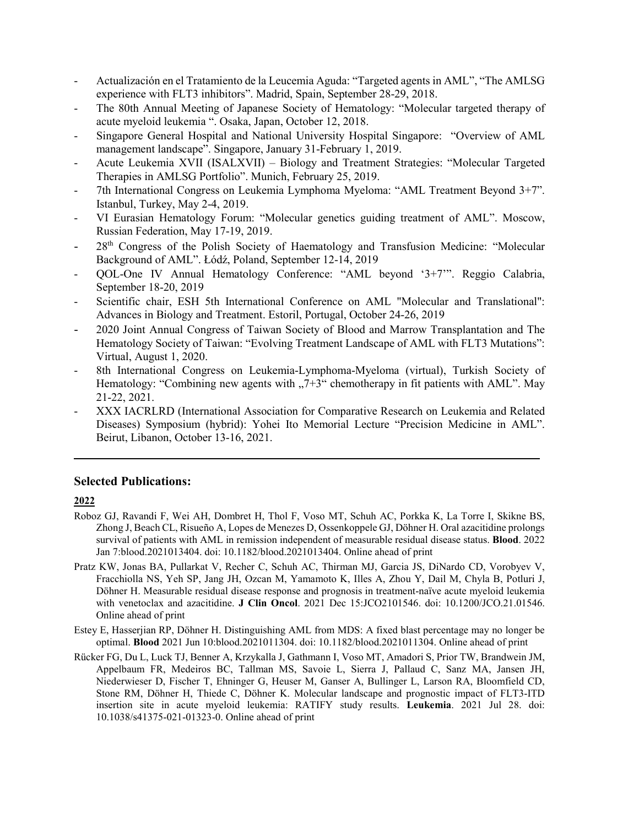- Actualización en el Tratamiento de la Leucemia Aguda: "Targeted agents in AML", "The AMLSG experience with FLT3 inhibitors". Madrid, Spain, September 28-29, 2018.
- The 80th Annual Meeting of Japanese Society of Hematology: "Molecular targeted therapy of acute myeloid leukemia ". Osaka, Japan, October 12, 2018.
- Singapore General Hospital and National University Hospital Singapore: "Overview of AML management landscape". Singapore, January 31-February 1, 2019.
- Acute Leukemia XVII (ISALXVII) Biology and Treatment Strategies: "Molecular Targeted Therapies in AMLSG Portfolio". Munich, February 25, 2019.
- 7th International Congress on Leukemia Lymphoma Myeloma: "AML Treatment Beyond 3+7". Istanbul, Turkey, May 2-4, 2019.
- VI Eurasian Hematology Forum: "Molecular genetics guiding treatment of AML". Moscow, Russian Federation, May 17-19, 2019.
- 28<sup>th</sup> Congress of the Polish Society of Haematology and Transfusion Medicine: "Molecular Background of AML". Łódź, Poland, September 12-14, 2019
- QOL-One IV Annual Hematology Conference: "AML beyond '3+7'". Reggio Calabria, September 18-20, 2019
- Scientific chair, ESH 5th International Conference on AML "Molecular and Translational": Advances in Biology and Treatment. Estoril, Portugal, October 24-26, 2019
- 2020 Joint Annual Congress of Taiwan Society of Blood and Marrow Transplantation and The Hematology Society of Taiwan: "Evolving Treatment Landscape of AML with FLT3 Mutations": Virtual, August 1, 2020.
- 8th International Congress on Leukemia-Lymphoma-Myeloma (virtual), Turkish Society of Hematology: "Combining new agents with "7+3" chemotherapy in fit patients with AML". May 21-22, 2021.
- XXX IACRLRD (International Association for Comparative Research on Leukemia and Related Diseases) Symposium (hybrid): Yohei Ito Memorial Lecture "Precision Medicine in AML". Beirut, Libanon, October 13-16, 2021.

## **Selected Publications:**

- Roboz GJ, Ravandi F, Wei AH, Dombret H, Thol F, Voso MT, Schuh AC, Porkka K, La Torre I, Skikne BS, Zhong J, Beach CL, Risueño A, Lopes de Menezes D, Ossenkoppele GJ, Döhner H. Oral azacitidine prolongs survival of patients with AML in remission independent of measurable residual disease status. **Blood**. 2022 Jan 7:blood.2021013404. doi: 10.1182/blood.2021013404. Online ahead of print
- Pratz KW, Jonas BA, Pullarkat V, Recher C, Schuh AC, Thirman MJ, Garcia JS, DiNardo CD, Vorobyev V, Fracchiolla NS, Yeh SP, Jang JH, Ozcan M, Yamamoto K, Illes A, Zhou Y, Dail M, Chyla B, Potluri J, Döhner H. Measurable residual disease response and prognosis in treatment-naïve acute myeloid leukemia with venetoclax and azacitidine. **J Clin Oncol**. 2021 Dec 15:JCO2101546. doi: 10.1200/JCO.21.01546. Online ahead of print
- Estey E, Hasserjian RP, Döhner H. Distinguishing AML from MDS: A fixed blast percentage may no longer be optimal. **Blood** 2021 Jun 10:blood.2021011304. doi: 10.1182/blood.2021011304. Online ahead of print
- Rücker FG, Du L, Luck TJ, Benner A, Krzykalla J, Gathmann I, Voso MT, Amadori S, Prior TW, Brandwein JM, Appelbaum FR, Medeiros BC, Tallman MS, Savoie L, Sierra J, Pallaud C, Sanz MA, Jansen JH, Niederwieser D, Fischer T, Ehninger G, Heuser M, Ganser A, Bullinger L, Larson RA, Bloomfield CD, Stone RM, Döhner H, Thiede C, Döhner K. Molecular landscape and prognostic impact of FLT3-ITD insertion site in acute myeloid leukemia: RATIFY study results. **Leukemia**. 2021 Jul 28. doi: 10.1038/s41375-021-01323-0. Online ahead of print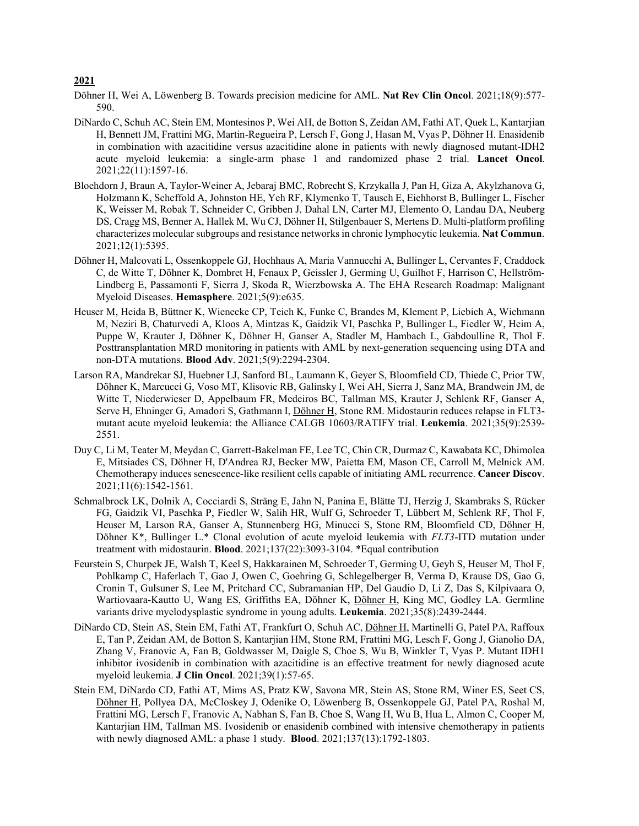- Döhner H, Wei A, Löwenberg B. Towards precision medicine for AML. **Nat Rev Clin Oncol**. 2021;18(9):577- 590.
- DiNardo C, Schuh AC, Stein EM, Montesinos P, Wei AH, de Botton S, Zeidan AM, Fathi AT, Quek L, Kantarjian H, Bennett JM, Frattini MG, Martin-Regueira P, Lersch F, Gong J, Hasan M, Vyas P, Döhner H. Enasidenib in combination with azacitidine versus azacitidine alone in patients with newly diagnosed mutant-IDH2 acute myeloid leukemia: a single-arm phase 1 and randomized phase 2 trial. **Lancet Oncol**. 2021;22(11):1597-16.
- Bloehdorn J, Braun A, Taylor-Weiner A, Jebaraj BMC, Robrecht S, Krzykalla J, Pan H, Giza A, Akylzhanova G, Holzmann K, Scheffold A, Johnston HE, Yeh RF, Klymenko T, Tausch E, Eichhorst B, Bullinger L, Fischer K, Weisser M, Robak T, Schneider C, Gribben J, Dahal LN, Carter MJ, Elemento O, Landau DA, Neuberg DS, Cragg MS, Benner A, Hallek M, Wu CJ, Döhner H, Stilgenbauer S, Mertens D. Multi-platform profiling characterizes molecular subgroups and resistance networks in chronic lymphocytic leukemia. **Nat Commun**. 2021;12(1):5395.
- Döhner H, Malcovati L, Ossenkoppele GJ, Hochhaus A, Maria Vannucchi A, Bullinger L, Cervantes F, Craddock C, de Witte T, Döhner K, Dombret H, Fenaux P, Geissler J, Germing U, Guilhot F, Harrison C, Hellström-Lindberg E, Passamonti F, Sierra J, Skoda R, Wierzbowska A. The EHA Research Roadmap: Malignant Myeloid Diseases. **Hemasphere**. 2021;5(9):e635.
- Heuser M, Heida B, Büttner K, Wienecke CP, Teich K, Funke C, Brandes M, Klement P, Liebich A, Wichmann M, Neziri B, Chaturvedi A, Kloos A, Mintzas K, Gaidzik VI, Paschka P, Bullinger L, Fiedler W, Heim A, Puppe W, Krauter J, Döhner K, Döhner H, Ganser A, Stadler M, Hambach L, Gabdoulline R, Thol F. Posttransplantation MRD monitoring in patients with AML by next-generation sequencing using DTA and non-DTA mutations. **Blood Adv**. 2021;5(9):2294-2304.
- Larson RA, Mandrekar SJ, Huebner LJ, Sanford BL, Laumann K, Geyer S, Bloomfield CD, Thiede C, Prior TW, Döhner K, Marcucci G, Voso MT, Klisovic RB, Galinsky I, Wei AH, Sierra J, Sanz MA, Brandwein JM, de Witte T, Niederwieser D, Appelbaum FR, Medeiros BC, Tallman MS, Krauter J, Schlenk RF, Ganser A, Serve H, Ehninger G, Amadori S, Gathmann I, *Döhner H*, Stone RM. Midostaurin reduces relapse in FLT3mutant acute myeloid leukemia: the Alliance CALGB 10603/RATIFY trial. **Leukemia**. 2021;35(9):2539- 2551.
- Duy C, Li M, Teater M, Meydan C, Garrett-Bakelman FE, Lee TC, Chin CR, Durmaz C, Kawabata KC, Dhimolea E, Mitsiades CS, Döhner H, D'Andrea RJ, Becker MW, Paietta EM, Mason CE, Carroll M, Melnick AM. Chemotherapy induces senescence-like resilient cells capable of initiating AML recurrence. **Cancer Discov**. 2021;11(6):1542-1561.
- Schmalbrock LK, Dolnik A, Cocciardi S, Sträng E, Jahn N, Panina E, Blätte TJ, Herzig J, Skambraks S, Rücker FG, Gaidzik VI, Paschka P, Fiedler W, Salih HR, Wulf G, Schroeder T, Lübbert M, Schlenk RF, Thol F, Heuser M, Larson RA, Ganser A, Stunnenberg HG, Minucci S, Stone RM, Bloomfield CD, Döhner H, Döhner K\*, Bullinger L.\* Clonal evolution of acute myeloid leukemia with *FLT3*-ITD mutation under treatment with midostaurin. **Blood**. 2021;137(22):3093-3104. \*Equal contribution
- Feurstein S, Churpek JE, Walsh T, Keel S, Hakkarainen M, Schroeder T, Germing U, Geyh S, Heuser M, Thol F, Pohlkamp C, Haferlach T, Gao J, Owen C, Goehring G, Schlegelberger B, Verma D, Krause DS, Gao G, Cronin T, Gulsuner S, Lee M, Pritchard CC, Subramanian HP, Del Gaudio D, Li Z, Das S, Kilpivaara O, Wartiovaara-Kautto U, Wang ES, Griffiths EA, Döhner K, Döhner H, King MC, Godley LA. Germline variants drive myelodysplastic syndrome in young adults. **Leukemia**. 2021;35(8):2439-2444.
- DiNardo CD, Stein AS, Stein EM, Fathi AT, Frankfurt O, Schuh AC, Döhner H, Martinelli G, Patel PA, Raffoux E, Tan P, Zeidan AM, de Botton S, Kantarjian HM, Stone RM, Frattini MG, Lesch F, Gong J, Gianolio DA, Zhang V, Franovic A, Fan B, Goldwasser M, Daigle S, Choe S, Wu B, Winkler T, Vyas P. Mutant IDH1 inhibitor ivosidenib in combination with azacitidine is an effective treatment for newly diagnosed acute myeloid leukemia. **J Clin Oncol**. 2021;39(1):57-65.
- Stein EM, DiNardo CD, Fathi AT, Mims AS, Pratz KW, Savona MR, Stein AS, Stone RM, Winer ES, Seet CS, Döhner H, Pollyea DA, McCloskey J, Odenike O, Löwenberg B, Ossenkoppele GJ, Patel PA, Roshal M, Frattini MG, Lersch F, Franovic A, Nabhan S, Fan B, Choe S, Wang H, Wu B, Hua L, Almon C, Cooper M, Kantarjian HM, Tallman MS. Ivosidenib or enasidenib combined with intensive chemotherapy in patients with newly diagnosed AML: a phase 1 study. **Blood**. 2021;137(13):1792-1803.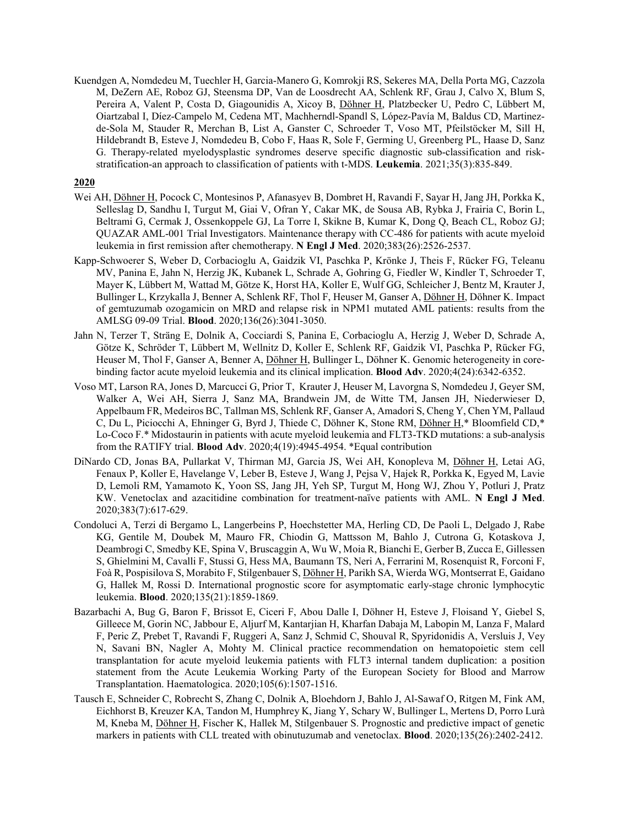Kuendgen A, Nomdedeu M, Tuechler H, Garcia-Manero G, Komrokji RS, Sekeres MA, Della Porta MG, Cazzola M, DeZern AE, Roboz GJ, Steensma DP, Van de Loosdrecht AA, Schlenk RF, Grau J, Calvo X, Blum S, Pereira A, Valent P, Costa D, Giagounidis A, Xicoy B, Döhner H, Platzbecker U, Pedro C, Lübbert M, Oiartzabal I, Díez-Campelo M, Cedena MT, Machherndl-Spandl S, López-Pavía M, Baldus CD, Martinezde-Sola M, Stauder R, Merchan B, List A, Ganster C, Schroeder T, Voso MT, Pfeilstöcker M, Sill H, Hildebrandt B, Esteve J, Nomdedeu B, Cobo F, Haas R, Sole F, Germing U, Greenberg PL, Haase D, Sanz G. Therapy-related myelodysplastic syndromes deserve specific diagnostic sub-classification and riskstratification-an approach to classification of patients with t-MDS. **Leukemia**. 2021;35(3):835-849.

- Wei AH, Döhner H, Pocock C, Montesinos P, Afanasyev B, Dombret H, Ravandi F, Sayar H, Jang JH, Porkka K, Selleslag D, Sandhu I, Turgut M, Giai V, Ofran Y, Cakar MK, de Sousa AB, Rybka J, Frairia C, Borin L, Beltrami G, Cermak J, Ossenkoppele GJ, La Torre I, Skikne B, Kumar K, Dong Q, Beach CL, Roboz GJ; QUAZAR AML-001 Trial Investigators. Maintenance therapy with CC-486 for patients with acute myeloid leukemia in first remission after chemotherapy. **N Engl J Med**. 2020;383(26):2526-2537.
- Kapp-Schwoerer S, Weber D, Corbacioglu A, Gaidzik VI, Paschka P, Krönke J, Theis F, Rücker FG, Teleanu MV, Panina E, Jahn N, Herzig JK, Kubanek L, Schrade A, Gohring G, Fiedler W, Kindler T, Schroeder T, Mayer K, Lübbert M, Wattad M, Götze K, Horst HA, Koller E, Wulf GG, Schleicher J, Bentz M, Krauter J, Bullinger L, Krzykalla J, Benner A, Schlenk RF, Thol F, Heuser M, Ganser A, Döhner H, Döhner K. Impact of gemtuzumab ozogamicin on MRD and relapse risk in NPM1 mutated AML patients: results from the AMLSG 09-09 Trial. **Blood**. 2020;136(26):3041-3050.
- Jahn N, Terzer T, Sträng E, Dolnik A, Cocciardi S, Panina E, Corbacioglu A, Herzig J, Weber D, Schrade A, Götze K, Schröder T, Lübbert M, Wellnitz D, Koller E, Schlenk RF, Gaidzik VI, Paschka P, Rücker FG, Heuser M, Thol F, Ganser A, Benner A, Döhner H, Bullinger L, Döhner K. Genomic heterogeneity in corebinding factor acute myeloid leukemia and its clinical implication. **Blood Adv**. 2020;4(24):6342-6352.
- Voso MT, Larson RA, Jones D, Marcucci G, Prior T, Krauter J, Heuser M, Lavorgna S, Nomdedeu J, Geyer SM, Walker A, Wei AH, Sierra J, Sanz MA, Brandwein JM, de Witte TM, Jansen JH, Niederwieser D, Appelbaum FR, Medeiros BC, Tallman MS, Schlenk RF, Ganser A, Amadori S, Cheng Y, Chen YM, Pallaud C, Du L, Piciocchi A, Ehninger G, Byrd J, Thiede C, Döhner K, Stone RM, Döhner H,\* Bloomfield CD,\* Lo-Coco F.\* Midostaurin in patients with acute myeloid leukemia and FLT3-TKD mutations: a sub-analysis from the RATIFY trial. **Blood Adv**. 2020;4(19):4945-4954. \*Equal contribution
- DiNardo CD, Jonas BA, Pullarkat V, Thirman MJ, Garcia JS, Wei AH, Konopleva M, Döhner H, Letai AG, Fenaux P, Koller E, Havelange V, Leber B, Esteve J, Wang J, Pejsa V, Hajek R, Porkka K, Egyed M, Lavie D, Lemoli RM, Yamamoto K, Yoon SS, Jang JH, Yeh SP, Turgut M, Hong WJ, Zhou Y, Potluri J, Pratz KW. Venetoclax and azacitidine combination for treatment-naïve patients with AML. **N Engl J Med**. 2020;383(7):617-629.
- Condoluci A, Terzi di Bergamo L, Langerbeins P, Hoechstetter MA, Herling CD, De Paoli L, Delgado J, Rabe KG, Gentile M, Doubek M, Mauro FR, Chiodin G, Mattsson M, Bahlo J, Cutrona G, Kotaskova J, Deambrogi C, Smedby KE, Spina V, Bruscaggin A, Wu W, Moia R, Bianchi E, Gerber B, Zucca E, Gillessen S, Ghielmini M, Cavalli F, Stussi G, Hess MA, Baumann TS, Neri A, Ferrarini M, Rosenquist R, Forconi F, Foà R, Pospisilova S, Morabito F, Stilgenbauer S, Döhner H, Parikh SA, Wierda WG, Montserrat E, Gaidano G, Hallek M, Rossi D. International prognostic score for asymptomatic early-stage chronic lymphocytic leukemia. **Blood**. 2020;135(21):1859-1869.
- Bazarbachi A, Bug G, Baron F, Brissot E, Ciceri F, Abou Dalle I, Döhner H, Esteve J, Floisand Y, Giebel S, Gilleece M, Gorin NC, Jabbour E, Aljurf M, Kantarjian H, Kharfan Dabaja M, Labopin M, Lanza F, Malard F, Peric Z, Prebet T, Ravandi F, Ruggeri A, Sanz J, Schmid C, Shouval R, Spyridonidis A, Versluis J, Vey N, Savani BN, Nagler A, Mohty M. Clinical practice recommendation on hematopoietic stem cell transplantation for acute myeloid leukemia patients with FLT3 internal tandem duplication: a position statement from the Acute Leukemia Working Party of the European Society for Blood and Marrow Transplantation. Haematologica. 2020;105(6):1507-1516.
- Tausch E, Schneider C, Robrecht S, Zhang C, Dolnik A, Bloehdorn J, Bahlo J, Al-Sawaf O, Ritgen M, Fink AM, Eichhorst B, Kreuzer KA, Tandon M, Humphrey K, Jiang Y, Schary W, Bullinger L, Mertens D, Porro Lurà M, Kneba M, Döhner H, Fischer K, Hallek M, Stilgenbauer S. Prognostic and predictive impact of genetic markers in patients with CLL treated with obinutuzumab and venetoclax. **Blood**. 2020;135(26):2402-2412.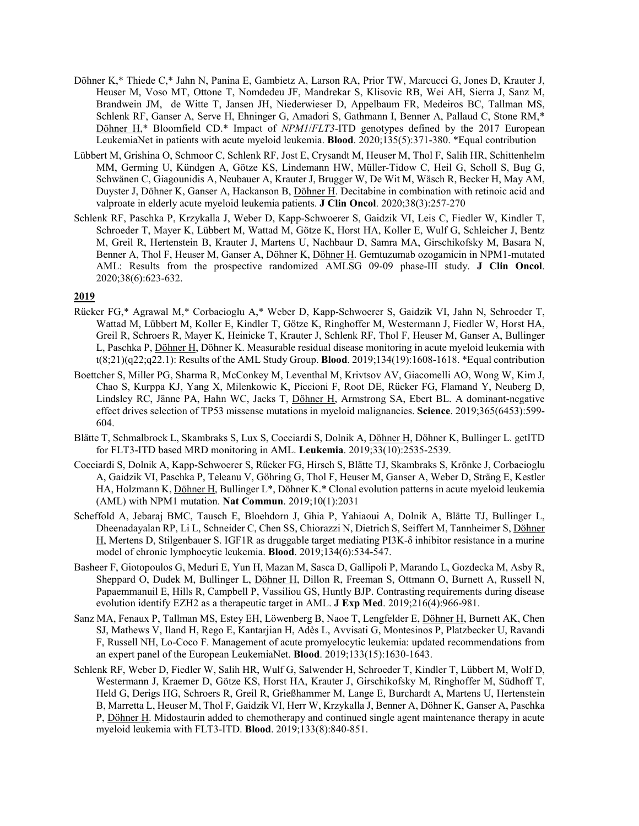- Döhner K,\* Thiede C,\* Jahn N, Panina E, Gambietz A, Larson RA, Prior TW, Marcucci G, Jones D, Krauter J, Heuser M, Voso MT, Ottone T, Nomdedeu JF, Mandrekar S, Klisovic RB, Wei AH, Sierra J, Sanz M, Brandwein JM, de Witte T, Jansen JH, Niederwieser D, Appelbaum FR, Medeiros BC, Tallman MS, Schlenk RF, Ganser A, Serve H, Ehninger G, Amadori S, Gathmann I, Benner A, Pallaud C, Stone RM,\* Döhner H,\* Bloomfield CD.\* Impact of *NPM1*/*FLT3*-ITD genotypes defined by the 2017 European LeukemiaNet in patients with acute myeloid leukemia. **Blood**. 2020;135(5):371-380. \*Equal contribution
- Lübbert M, Grishina O, Schmoor C, Schlenk RF, Jost E, Crysandt M, Heuser M, Thol F, Salih HR, Schittenhelm MM, Germing U, Kündgen A, Götze KS, Lindemann HW, Müller-Tidow C, Heil G, Scholl S, Bug G, Schwänen C, Giagounidis A, Neubauer A, Krauter J, Brugger W, De Wit M, Wäsch R, Becker H, May AM, Duyster J, Döhner K, Ganser A, Hackanson B, Döhner H. Decitabine in combination with retinoic acid and valproate in elderly acute myeloid leukemia patients. **J Clin Oncol**. 2020;38(3):257-270
- Schlenk RF, Paschka P, Krzykalla J, Weber D, Kapp-Schwoerer S, Gaidzik VI, Leis C, Fiedler W, Kindler T, Schroeder T, Mayer K, Lübbert M, Wattad M, Götze K, Horst HA, Koller E, Wulf G, Schleicher J, Bentz M, Greil R, Hertenstein B, Krauter J, Martens U, Nachbaur D, Samra MA, Girschikofsky M, Basara N, Benner A, Thol F, Heuser M, Ganser A, Döhner K, Döhner H. Gemtuzumab ozogamicin in NPM1-mutated AML: Results from the prospective randomized AMLSG 09-09 phase-III study. **J Clin Oncol**. 2020;38(6):623-632.

- Rücker FG,\* Agrawal M,\* Corbacioglu A,\* Weber D, Kapp-Schwoerer S, Gaidzik VI, Jahn N, Schroeder T, Wattad M, Lübbert M, Koller E, Kindler T, Götze K, Ringhoffer M, Westermann J, Fiedler W, Horst HA, Greil R, Schroers R, Mayer K, Heinicke T, Krauter J, Schlenk RF, Thol F, Heuser M, Ganser A, Bullinger L, Paschka P, Döhner H, Döhner K. Measurable residual disease monitoring in acute myeloid leukemia with t(8;21)(q22;q22.1): Results of the AML Study Group. **Blood**. 2019;134(19):1608-1618. \*Equal contribution
- Boettcher S, Miller PG, Sharma R, McConkey M, Leventhal M, Krivtsov AV, Giacomelli AO, Wong W, Kim J, Chao S, Kurppa KJ, Yang X, Milenkowic K, Piccioni F, Root DE, Rücker FG, Flamand Y, Neuberg D, Lindsley RC, Jänne PA, Hahn WC, Jacks T, Döhner H, Armstrong SA, Ebert BL. A dominant-negative effect drives selection of TP53 missense mutations in myeloid malignancies. **Science**. 2019;365(6453):599- 604.
- Blätte T, Schmalbrock L, Skambraks S, Lux S, Cocciardi S, Dolnik A, Döhner H, Döhner K, Bullinger L. getITD for FLT3-ITD based MRD monitoring in AML. **Leukemia**. 2019;33(10):2535-2539.
- Cocciardi S, Dolnik A, Kapp-Schwoerer S, Rücker FG, Hirsch S, Blätte TJ, Skambraks S, Krönke J, Corbacioglu A, Gaidzik VI, Paschka P, Teleanu V, Göhring G, Thol F, Heuser M, Ganser A, Weber D, Sträng E, Kestler HA, Holzmann K, Döhner H, Bullinger L\*, Döhner K.\* Clonal evolution patterns in acute myeloid leukemia (AML) with NPM1 mutation. **Nat Commun**. 2019;10(1):2031
- Scheffold A, Jebaraj BMC, Tausch E, Bloehdorn J, Ghia P, Yahiaoui A, Dolnik A, Blätte TJ, Bullinger L, Dheenadayalan RP, Li L, Schneider C, Chen SS, Chiorazzi N, Dietrich S, Seiffert M, Tannheimer S, Döhner H, Mertens D, Stilgenbauer S. IGF1R as druggable target mediating PI3K-δ inhibitor resistance in a murine model of chronic lymphocytic leukemia. **Blood**. 2019;134(6):534-547.
- Basheer F, Giotopoulos G, Meduri E, Yun H, Mazan M, Sasca D, Gallipoli P, Marando L, Gozdecka M, Asby R, Sheppard O, Dudek M, Bullinger L, Döhner H, Dillon R, Freeman S, Ottmann O, Burnett A, Russell N, Papaemmanuil E, Hills R, Campbell P, Vassiliou GS, Huntly BJP. Contrasting requirements during disease evolution identify EZH2 as a therapeutic target in AML. **J Exp Med**. 2019;216(4):966-981.
- Sanz MA, Fenaux P, Tallman MS, Estey EH, Löwenberg B, Naoe T, Lengfelder E, Döhner H, Burnett AK, Chen SJ, Mathews V, Iland H, Rego E, Kantarjian H, Adès L, Avvisati G, Montesinos P, Platzbecker U, Ravandi F, Russell NH, Lo-Coco F. Management of acute promyelocytic leukemia: updated recommendations from an expert panel of the European LeukemiaNet. **Blood**. 2019;133(15):1630-1643.
- Schlenk RF, Weber D, Fiedler W, Salih HR, Wulf G, Salwender H, Schroeder T, Kindler T, Lübbert M, Wolf D, Westermann J, Kraemer D, Götze KS, Horst HA, Krauter J, Girschikofsky M, Ringhoffer M, Südhoff T, Held G, Derigs HG, Schroers R, Greil R, Grießhammer M, Lange E, Burchardt A, Martens U, Hertenstein B, Marretta L, Heuser M, Thol F, Gaidzik VI, Herr W, Krzykalla J, Benner A, Döhner K, Ganser A, Paschka P, Döhner H. Midostaurin added to chemotherapy and continued single agent maintenance therapy in acute myeloid leukemia with FLT3-ITD. **Blood**. 2019;133(8):840-851.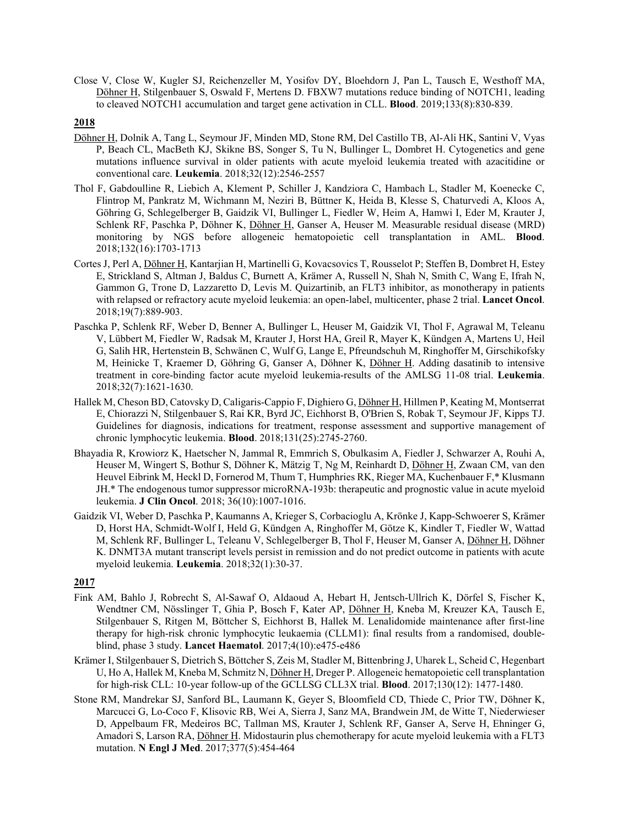Close V, Close W, Kugler SJ, Reichenzeller M, Yosifov DY, Bloehdorn J, Pan L, Tausch E, Westhoff MA, Döhner H, Stilgenbauer S, Oswald F, Mertens D. FBXW7 mutations reduce binding of NOTCH1, leading to cleaved NOTCH1 accumulation and target gene activation in CLL. **Blood**. 2019;133(8):830-839.

### **2018**

- Döhner H, Dolnik A, Tang L, Seymour JF, Minden MD, Stone RM, Del Castillo TB, Al-Ali HK, Santini V, Vyas P, Beach CL, MacBeth KJ, Skikne BS, Songer S, Tu N, Bullinger L, Dombret H. Cytogenetics and gene mutations influence survival in older patients with acute myeloid leukemia treated with azacitidine or conventional care. **Leukemia**. 2018;32(12):2546-2557
- Thol F, Gabdoulline R, Liebich A, Klement P, Schiller J, Kandziora C, Hambach L, Stadler M, Koenecke C, Flintrop M, Pankratz M, Wichmann M, Neziri B, Büttner K, Heida B, Klesse S, Chaturvedi A, Kloos A, Göhring G, Schlegelberger B, Gaidzik VI, Bullinger L, Fiedler W, Heim A, Hamwi I, Eder M, Krauter J, Schlenk RF, Paschka P, Döhner K, Döhner H, Ganser A, Heuser M. Measurable residual disease (MRD) monitoring by NGS before allogeneic hematopoietic cell transplantation in AML. **Blood**. 2018;132(16):1703-1713
- Cortes J, Perl A, Döhner H, Kantarjian H, Martinelli G, Kovacsovics T, Rousselot P; Steffen B, Dombret H, Estey E, Strickland S, Altman J, Baldus C, Burnett A, Krämer A, Russell N, Shah N, Smith C, Wang E, Ifrah N, Gammon G, Trone D, Lazzaretto D, Levis M. Quizartinib, an FLT3 inhibitor, as monotherapy in patients with relapsed or refractory acute myeloid leukemia: an open-label, multicenter, phase 2 trial. **Lancet Oncol**. 2018;19(7):889-903.
- Paschka P, Schlenk RF, Weber D, Benner A, Bullinger L, Heuser M, Gaidzik VI, Thol F, Agrawal M, Teleanu V, Lübbert M, Fiedler W, Radsak M, Krauter J, Horst HA, Greil R, Mayer K, Kündgen A, Martens U, Heil G, Salih HR, Hertenstein B, Schwänen C, Wulf G, Lange E, Pfreundschuh M, Ringhoffer M, Girschikofsky M, Heinicke T, Kraemer D, Göhring G, Ganser A, Döhner K, Döhner H. Adding dasatinib to intensive treatment in core-binding factor acute myeloid leukemia-results of the AMLSG 11-08 trial. **Leukemia**. 2018;32(7):1621-1630.
- Hallek M, Cheson BD, Catovsky D, Caligaris-Cappio F, Dighiero G, Döhner H, Hillmen P, Keating M, Montserrat E, Chiorazzi N, Stilgenbauer S, Rai KR, Byrd JC, Eichhorst B, O'Brien S, Robak T, Seymour JF, Kipps TJ. Guidelines for diagnosis, indications for treatment, response assessment and supportive management of chronic lymphocytic leukemia. **Blood**. 2018;131(25):2745-2760.
- Bhayadia R, Krowiorz K, Haetscher N, Jammal R, Emmrich S, Obulkasim A, Fiedler J, Schwarzer A, Rouhi A, Heuser M, Wingert S, Bothur S, Döhner K, Mätzig T, Ng M, Reinhardt D, Döhner H, Zwaan CM, van den Heuvel Eibrink M, Heckl D, Fornerod M, Thum T, Humphries RK, Rieger MA, Kuchenbauer F,\* Klusmann JH.\* The endogenous tumor suppressor microRNA-193b: therapeutic and prognostic value in acute myeloid leukemia. **J Clin Oncol**. 2018; 36(10):1007-1016.
- Gaidzik VI, Weber D, Paschka P, Kaumanns A, Krieger S, Corbacioglu A, Krönke J, Kapp-Schwoerer S, Krämer D, Horst HA, Schmidt-Wolf I, Held G, Kündgen A, Ringhoffer M, Götze K, Kindler T, Fiedler W, Wattad M, Schlenk RF, Bullinger L, Teleanu V, Schlegelberger B, Thol F, Heuser M, Ganser A, Döhner H, Döhner K. DNMT3A mutant transcript levels persist in remission and do not predict outcome in patients with acute myeloid leukemia. **Leukemia**. 2018;32(1):30-37.

- Fink AM, Bahlo J, Robrecht S, Al-Sawaf O, Aldaoud A, Hebart H, Jentsch-Ullrich K, Dörfel S, Fischer K, Wendtner CM, Nösslinger T, Ghia P, Bosch F, Kater AP, Döhner H, Kneba M, Kreuzer KA, Tausch E, Stilgenbauer S, Ritgen M, Böttcher S, Eichhorst B, Hallek M. Lenalidomide maintenance after first-line therapy for high-risk chronic lymphocytic leukaemia (CLLM1): final results from a randomised, doubleblind, phase 3 study. **Lancet Haematol**. 2017;4(10):e475-e486
- Krämer I, Stilgenbauer S, Dietrich S, Böttcher S, Zeis M, Stadler M, Bittenbring J, Uharek L, Scheid C, Hegenbart U, Ho A, Hallek M, Kneba M, Schmitz N, Döhner H, Dreger P. Allogeneic hematopoietic cell transplantation for high-risk CLL: 10-year follow-up of the GCLLSG CLL3X trial. **Blood**. 2017;130(12): 1477-1480.
- Stone RM, Mandrekar SJ, Sanford BL, Laumann K, Geyer S, Bloomfield CD, Thiede C, Prior TW, Döhner K, Marcucci G, Lo-Coco F, Klisovic RB, Wei A, Sierra J, Sanz MA, Brandwein JM, de Witte T, Niederwieser D, Appelbaum FR, Medeiros BC, Tallman MS, Krauter J, Schlenk RF, Ganser A, Serve H, Ehninger G, Amadori S, Larson RA, Döhner H. Midostaurin plus chemotherapy for acute myeloid leukemia with a FLT3 mutation. **N Engl J Med**. 2017;377(5):454-464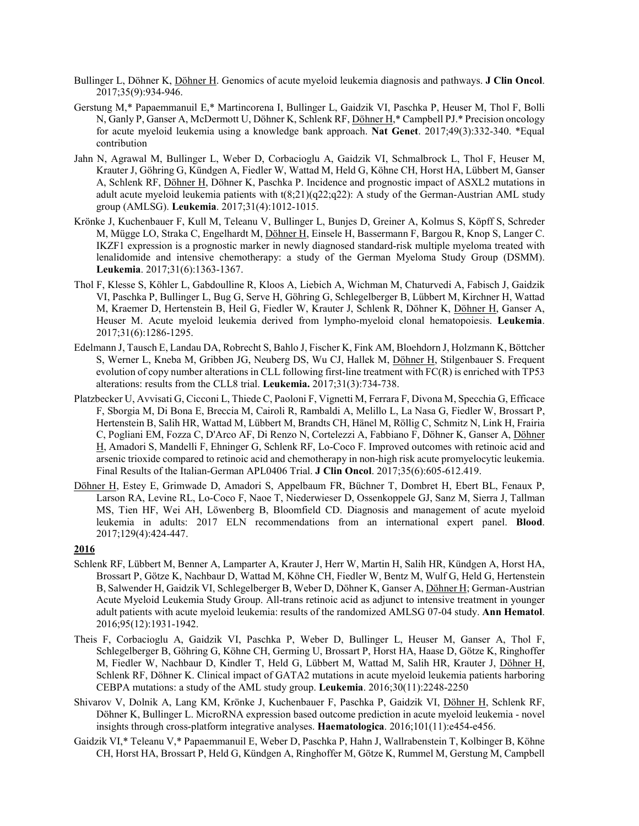- Bullinger L, Döhner K, Döhner H. Genomics of acute myeloid leukemia diagnosis and pathways. **J Clin Oncol**. 2017;35(9):934-946.
- Gerstung M,\* Papaemmanuil E,\* Martincorena I, Bullinger L, Gaidzik VI, Paschka P, Heuser M, Thol F, Bolli N, Ganly P, Ganser A, McDermott U, Döhner K, Schlenk RF, Döhner H,\* Campbell PJ.\* Precision oncology for acute myeloid leukemia using a knowledge bank approach. **Nat Genet**. 2017;49(3):332-340. \*Equal contribution
- Jahn N, Agrawal M, Bullinger L, Weber D, Corbacioglu A, Gaidzik VI, Schmalbrock L, Thol F, Heuser M, Krauter J, Göhring G, Kündgen A, Fiedler W, Wattad M, Held G, Köhne CH, Horst HA, Lübbert M, Ganser A, Schlenk RF, Döhner H, Döhner K, Paschka P. Incidence and prognostic impact of ASXL2 mutations in adult acute myeloid leukemia patients with t(8;21)(q22;q22): A study of the German-Austrian AML study group (AMLSG). **Leukemia**. 2017;31(4):1012-1015.
- Krönke J, Kuchenbauer F, Kull M, Teleanu V, Bullinger L, Bunjes D, Greiner A, Kolmus S, Köpff S, Schreder M, Mügge LO, Straka C, Engelhardt M, Döhner H, Einsele H, Bassermann F, Bargou R, Knop S, Langer C. IKZF1 expression is a prognostic marker in newly diagnosed standard-risk multiple myeloma treated with lenalidomide and intensive chemotherapy: a study of the German Myeloma Study Group (DSMM). **Leukemia**. 2017;31(6):1363-1367.
- Thol F, Klesse S, Köhler L, Gabdoulline R, Kloos A, Liebich A, Wichman M, Chaturvedi A, Fabisch J, Gaidzik VI, Paschka P, Bullinger L, Bug G, Serve H, Göhring G, Schlegelberger B, Lübbert M, Kirchner H, Wattad M, Kraemer D, Hertenstein B, Heil G, Fiedler W, Krauter J, Schlenk R, Döhner K, Döhner H, Ganser A, Heuser M. Acute myeloid leukemia derived from lympho-myeloid clonal hematopoiesis. **Leukemia**. 2017;31(6):1286-1295.
- Edelmann J, Tausch E, Landau DA, Robrecht S, Bahlo J, Fischer K, Fink AM, Bloehdorn J, Holzmann K, Böttcher S, Werner L, Kneba M, Gribben JG, Neuberg DS, Wu CJ, Hallek M, Döhner H, Stilgenbauer S. Frequent evolution of copy number alterations in CLL following first-line treatment with FC(R) is enriched with TP53 alterations: results from the CLL8 trial. **Leukemia.** 2017;31(3):734-738.
- Platzbecker U, Avvisati G, Cicconi L, Thiede C, Paoloni F, Vignetti M, Ferrara F, Divona M, Specchia G, Efficace F, Sborgia M, Di Bona E, Breccia M, Cairoli R, Rambaldi A, Melillo L, La Nasa G, Fiedler W, Brossart P, Hertenstein B, Salih HR, Wattad M, Lübbert M, Brandts CH, Hänel M, Röllig C, Schmitz N, Link H, Frairia C, Pogliani EM, Fozza C, D'Arco AF, Di Renzo N, Cortelezzi A, Fabbiano F, Döhner K, Ganser A, Döhner H, Amadori S, Mandelli F, Ehninger G, Schlenk RF, Lo-Coco F. Improved outcomes with retinoic acid and arsenic trioxide compared to retinoic acid and chemotherapy in non-high risk acute promyelocytic leukemia. Final Results of the Italian-German APL0406 Trial. **J Clin Oncol**. 2017;35(6):605-612.419.
- Döhner H, Estey E, Grimwade D, Amadori S, Appelbaum FR, Büchner T, Dombret H, Ebert BL, Fenaux P, Larson RA, Levine RL, Lo-Coco F, Naoe T, Niederwieser D, Ossenkoppele GJ, Sanz M, Sierra J, Tallman MS, Tien HF, Wei AH, Löwenberg B, Bloomfield CD. Diagnosis and management of acute myeloid leukemia in adults: 2017 ELN recommendations from an international expert panel. **Blood**. 2017;129(4):424-447.

- Schlenk RF, Lübbert M, Benner A, Lamparter A, Krauter J, Herr W, Martin H, Salih HR, Kündgen A, Horst HA, Brossart P, Götze K, Nachbaur D, Wattad M, Köhne CH, Fiedler W, Bentz M, Wulf G, Held G, Hertenstein B, Salwender H, Gaidzik VI, Schlegelberger B, Weber D, Döhner K, Ganser A, Döhner H; German-Austrian Acute Myeloid Leukemia Study Group. All-trans retinoic acid as adjunct to intensive treatment in younger adult patients with acute myeloid leukemia: results of the randomized AMLSG 07-04 study. **Ann Hematol**. 2016;95(12):1931-1942.
- Theis F, Corbacioglu A, Gaidzik VI, Paschka P, Weber D, Bullinger L, Heuser M, Ganser A, Thol F, Schlegelberger B, Göhring G, Köhne CH, Germing U, Brossart P, Horst HA, Haase D, Götze K, Ringhoffer M, Fiedler W, Nachbaur D, Kindler T, Held G, Lübbert M, Wattad M, Salih HR, Krauter J, Döhner H, Schlenk RF, Döhner K. Clinical impact of GATA2 mutations in acute myeloid leukemia patients harboring CEBPA mutations: a study of the AML study group. **Leukemia**. 2016;30(11):2248-2250
- Shivarov V, Dolnik A, Lang KM, Krönke J, Kuchenbauer F, Paschka P, Gaidzik VI, Döhner H, Schlenk RF, Döhner K, Bullinger L. MicroRNA expression based outcome prediction in acute myeloid leukemia - novel insights through cross-platform integrative analyses. **Haematologica**. 2016;101(11):e454-e456.
- Gaidzik VI,\* Teleanu V,\* Papaemmanuil E, Weber D, Paschka P, Hahn J, Wallrabenstein T, Kolbinger B, Köhne CH, Horst HA, Brossart P, Held G, Kündgen A, Ringhoffer M, Götze K, Rummel M, Gerstung M, Campbell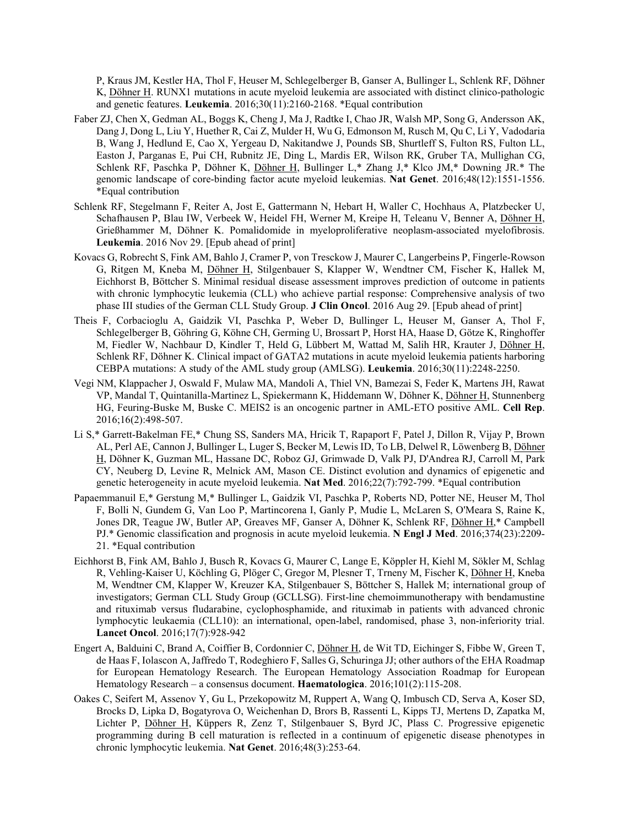P, Kraus JM, Kestler HA, Thol F, Heuser M, Schlegelberger B, Ganser A, Bullinger L, Schlenk RF, Döhner K, Döhner H. RUNX1 mutations in acute myeloid leukemia are associated with distinct clinico-pathologic and genetic features. **Leukemia**. 2016;30(11):2160-2168. \*Equal contribution

- Faber ZJ, Chen X, Gedman AL, Boggs K, Cheng J, Ma J, Radtke I, Chao JR, Walsh MP, Song G, Andersson AK, Dang J, Dong L, Liu Y, Huether R, Cai Z, Mulder H, Wu G, Edmonson M, Rusch M, Qu C, Li Y, Vadodaria B, Wang J, Hedlund E, Cao X, Yergeau D, Nakitandwe J, Pounds SB, Shurtleff S, Fulton RS, Fulton LL, Easton J, Parganas E, Pui CH, Rubnitz JE, Ding L, Mardis ER, Wilson RK, Gruber TA, Mullighan CG, Schlenk RF, Paschka P, Döhner K, Döhner H, Bullinger L,\* Zhang J,\* Klco JM,\* Downing JR.\* The genomic landscape of core-binding factor acute myeloid leukemias. **Nat Genet**. 2016;48(12):1551-1556. \*Equal contribution
- Schlenk RF, Stegelmann F, Reiter A, Jost E, Gattermann N, Hebart H, Waller C, Hochhaus A, Platzbecker U, Schafhausen P, Blau IW, Verbeek W, Heidel FH, Werner M, Kreipe H, Teleanu V, Benner A, Döhner H, Grießhammer M, Döhner K. Pomalidomide in myeloproliferative neoplasm-associated myelofibrosis. **Leukemia**. 2016 Nov 29. [Epub ahead of print]
- Kovacs G, Robrecht S, Fink AM, Bahlo J, Cramer P, von Tresckow J, Maurer C, Langerbeins P, Fingerle-Rowson G, Ritgen M, Kneba M, Döhner H, Stilgenbauer S, Klapper W, Wendtner CM, Fischer K, Hallek M, Eichhorst B, Böttcher S. Minimal residual disease assessment improves prediction of outcome in patients with chronic lymphocytic leukemia (CLL) who achieve partial response: Comprehensive analysis of two phase III studies of the German CLL Study Group. **J Clin Oncol**. 2016 Aug 29. [Epub ahead of print]
- Theis F, Corbacioglu A, Gaidzik VI, Paschka P, Weber D, Bullinger L, Heuser M, Ganser A, Thol F, Schlegelberger B, Göhring G, Köhne CH, Germing U, Brossart P, Horst HA, Haase D, Götze K, Ringhoffer M, Fiedler W, Nachbaur D, Kindler T, Held G, Lübbert M, Wattad M, Salih HR, Krauter J, Döhner H, Schlenk RF, Döhner K. Clinical impact of GATA2 mutations in acute myeloid leukemia patients harboring CEBPA mutations: A study of the AML study group (AMLSG). **Leukemia**. 2016;30(11):2248-2250.
- Vegi NM, Klappacher J, Oswald F, Mulaw MA, Mandoli A, Thiel VN, Bamezai S, Feder K, Martens JH, Rawat VP, Mandal T, Quintanilla-Martinez L, Spiekermann K, Hiddemann W, Döhner K, Döhner H, Stunnenberg HG, Feuring-Buske M, Buske C. MEIS2 is an oncogenic partner in AML-ETO positive AML. **Cell Rep**. 2016;16(2):498-507.
- Li S,\* Garrett-Bakelman FE,\* Chung SS, Sanders MA, Hricik T, Rapaport F, Patel J, Dillon R, Vijay P, Brown AL, Perl AE, Cannon J, Bullinger L, Luger S, Becker M, Lewis ID, To LB, Delwel R, Löwenberg B, Döhner H, Döhner K, Guzman ML, Hassane DC, Roboz GJ, Grimwade D, Valk PJ, D'Andrea RJ, Carroll M, Park CY, Neuberg D, Levine R, Melnick AM, Mason CE. Distinct evolution and dynamics of epigenetic and genetic heterogeneity in acute myeloid leukemia. **Nat Med**. 2016;22(7):792-799. \*Equal contribution
- Papaemmanuil E,\* Gerstung M,\* Bullinger L, Gaidzik VI, Paschka P, Roberts ND, Potter NE, Heuser M, Thol F, Bolli N, Gundem G, Van Loo P, Martincorena I, Ganly P, Mudie L, McLaren S, O'Meara S, Raine K, Jones DR, Teague JW, Butler AP, Greaves MF, Ganser A, Döhner K, Schlenk RF, Döhner H,\* Campbell PJ.\* Genomic classification and prognosis in acute myeloid leukemia. **N Engl J Med**. 2016;374(23):2209- 21. \*Equal contribution
- Eichhorst B, Fink AM, Bahlo J, Busch R, Kovacs G, Maurer C, Lange E, Köppler H, Kiehl M, Sökler M, Schlag R, Vehling-Kaiser U, Köchling G, Plöger C, Gregor M, Plesner T, Trneny M, Fischer K, Döhner H, Kneba M, Wendtner CM, Klapper W, Kreuzer KA, Stilgenbauer S, Böttcher S, Hallek M; international group of investigators; German CLL Study Group (GCLLSG). First-line chemoimmunotherapy with bendamustine and rituximab versus fludarabine, cyclophosphamide, and rituximab in patients with advanced chronic lymphocytic leukaemia (CLL10): an international, open-label, randomised, phase 3, non-inferiority trial. **Lancet Oncol**. 2016;17(7):928-942
- Engert A, Balduini C, Brand A, Coiffier B, Cordonnier C, Döhner H, de Wit TD, Eichinger S, Fibbe W, Green T, de Haas F, Iolascon A, Jaffredo T, Rodeghiero F, Salles G, Schuringa JJ; other authors of the EHA Roadmap for European Hematology Research. The European Hematology Association Roadmap for European Hematology Research – a consensus document. **Haematologica**. 2016;101(2):115-208.
- Oakes C, Seifert M, Assenov Y, Gu L, Przekopowitz M, Ruppert A, Wang Q, Imbusch CD, Serva A, Koser SD, Brocks D, Lipka D, Bogatyrova O, Weichenhan D, Brors B, Rassenti L, Kipps TJ, Mertens D, Zapatka M, Lichter P, Döhner H, Küppers R, Zenz T, Stilgenbauer S, Byrd JC, Plass C. Progressive epigenetic programming during B cell maturation is reflected in a continuum of epigenetic disease phenotypes in chronic lymphocytic leukemia. **Nat Genet**. 2016;48(3):253-64.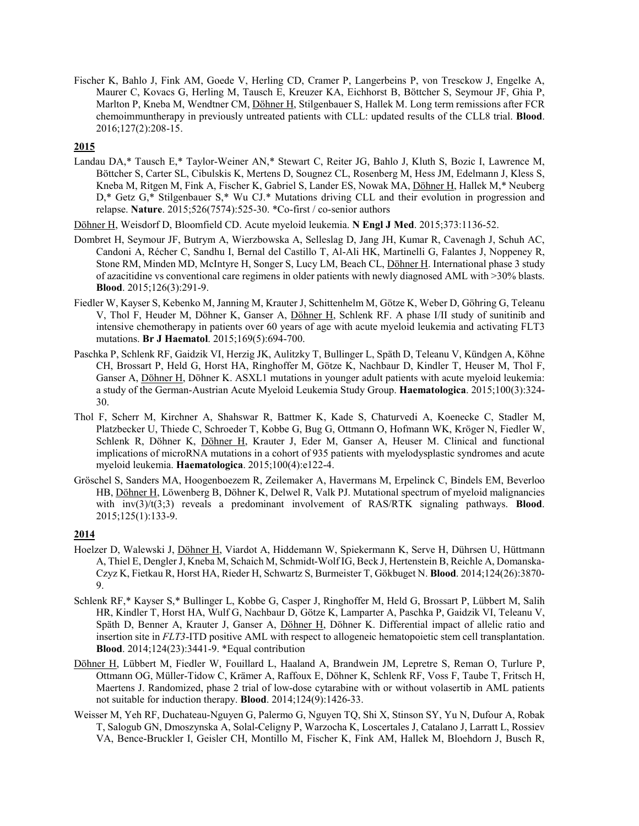Fischer K, Bahlo J, Fink AM, Goede V, Herling CD, Cramer P, Langerbeins P, von Tresckow J, Engelke A, Maurer C, Kovacs G, Herling M, Tausch E, Kreuzer KA, Eichhorst B, Böttcher S, Seymour JF, Ghia P, Marlton P, Kneba M, Wendtner CM, Döhner H, Stilgenbauer S, Hallek M. Long term remissions after FCR chemoimmuntherapy in previously untreated patients with CLL: updated results of the CLL8 trial. **Blood**. 2016;127(2):208-15.

#### **2015**

- Landau DA,\* Tausch E,\* Taylor-Weiner AN,\* Stewart C, Reiter JG, Bahlo J, Kluth S, Bozic I, Lawrence M, Böttcher S, Carter SL, Cibulskis K, Mertens D, Sougnez CL, Rosenberg M, Hess JM, Edelmann J, Kless S, Kneba M, Ritgen M, Fink A, Fischer K, Gabriel S, Lander ES, Nowak MA, Döhner H, Hallek M,\* Neuberg D,\* Getz G,\* Stilgenbauer S,\* Wu CJ.\* Mutations driving CLL and their evolution in progression and relapse. **Nature**. 2015;526(7574):525-30. \*Co-first / co-senior authors
- Döhner H, Weisdorf D, Bloomfield CD. Acute myeloid leukemia. **N Engl J Med**. 2015;373:1136-52.
- Dombret H, Seymour JF, Butrym A, Wierzbowska A, Selleslag D, Jang JH, Kumar R, Cavenagh J, Schuh AC, Candoni A, Récher C, Sandhu I, Bernal del Castillo T, Al-Ali HK, Martinelli G, Falantes J, Noppeney R, Stone RM, Minden MD, McIntyre H, Songer S, Lucy LM, Beach CL, Döhner H. International phase 3 study of azacitidine vs conventional care regimens in older patients with newly diagnosed AML with >30% blasts. **Blood**. 2015;126(3):291-9.
- Fiedler W, Kayser S, Kebenko M, Janning M, Krauter J, Schittenhelm M, Götze K, Weber D, Göhring G, Teleanu V, Thol F, Heuder M, Döhner K, Ganser A, Döhner H, Schlenk RF. A phase I/II study of sunitinib and intensive chemotherapy in patients over 60 years of age with acute myeloid leukemia and activating FLT3 mutations. **Br J Haematol**. 2015;169(5):694-700.
- Paschka P, Schlenk RF, Gaidzik VI, Herzig JK, Aulitzky T, Bullinger L, Späth D, Teleanu V, Kündgen A, Köhne CH, Brossart P, Held G, Horst HA, Ringhoffer M, Götze K, Nachbaur D, Kindler T, Heuser M, Thol F, Ganser A, Döhner H, Döhner K. ASXL1 mutations in younger adult patients with acute myeloid leukemia: a study of the German-Austrian Acute Myeloid Leukemia Study Group. **Haematologica**. 2015;100(3):324- 30.
- Thol F, Scherr M, Kirchner A, Shahswar R, Battmer K, Kade S, Chaturvedi A, Koenecke C, Stadler M, Platzbecker U, Thiede C, Schroeder T, Kobbe G, Bug G, Ottmann O, Hofmann WK, Kröger N, Fiedler W, Schlenk R, Döhner K, Döhner H, Krauter J, Eder M, Ganser A, Heuser M. Clinical and functional implications of microRNA mutations in a cohort of 935 patients with myelodysplastic syndromes and acute myeloid leukemia. **Haematologica**. 2015;100(4):e122-4.
- Gröschel S, Sanders MA, Hoogenboezem R, Zeilemaker A, Havermans M, Erpelinck C, Bindels EM, Beverloo HB, Döhner H, Löwenberg B, Döhner K, Delwel R, Valk PJ. Mutational spectrum of myeloid malignancies with inv(3)/t(3;3) reveals a predominant involvement of RAS/RTK signaling pathways. **Blood**. 2015;125(1):133-9.

- Hoelzer D, Walewski J, Döhner H, Viardot A, Hiddemann W, Spiekermann K, Serve H, Dührsen U, Hüttmann A, Thiel E, Dengler J, Kneba M, Schaich M, Schmidt-Wolf IG, Beck J, Hertenstein B, Reichle A, Domanska-Czyz K, Fietkau R, Horst HA, Rieder H, Schwartz S, Burmeister T, Gökbuget N. **Blood**. 2014;124(26):3870- 9.
- Schlenk RF,\* Kayser S,\* Bullinger L, Kobbe G, Casper J, Ringhoffer M, Held G, Brossart P, Lübbert M, Salih HR, Kindler T, Horst HA, Wulf G, Nachbaur D, Götze K, Lamparter A, Paschka P, Gaidzik VI, Teleanu V, Späth D, Benner A, Krauter J, Ganser A, Döhner H, Döhner K. Differential impact of allelic ratio and insertion site in *FLT3*-ITD positive AML with respect to allogeneic hematopoietic stem cell transplantation. **Blood**. 2014;124(23):3441-9. \*Equal contribution
- Döhner H, Lübbert M, Fiedler W, Fouillard L, Haaland A, Brandwein JM, Lepretre S, Reman O, Turlure P, Ottmann OG, Müller-Tidow C, Krämer A, Raffoux E, Döhner K, Schlenk RF, Voss F, Taube T, Fritsch H, Maertens J. Randomized, phase 2 trial of low-dose cytarabine with or without volasertib in AML patients not suitable for induction therapy. **Blood**. 2014;124(9):1426-33.
- Weisser M, Yeh RF, Duchateau-Nguyen G, Palermo G, Nguyen TQ, Shi X, Stinson SY, Yu N, Dufour A, Robak T, Salogub GN, Dmoszynska A, Solal-Celigny P, Warzocha K, Loscertales J, Catalano J, Larratt L, Rossiev VA, Bence-Bruckler I, Geisler CH, Montillo M, Fischer K, Fink AM, Hallek M, Bloehdorn J, Busch R,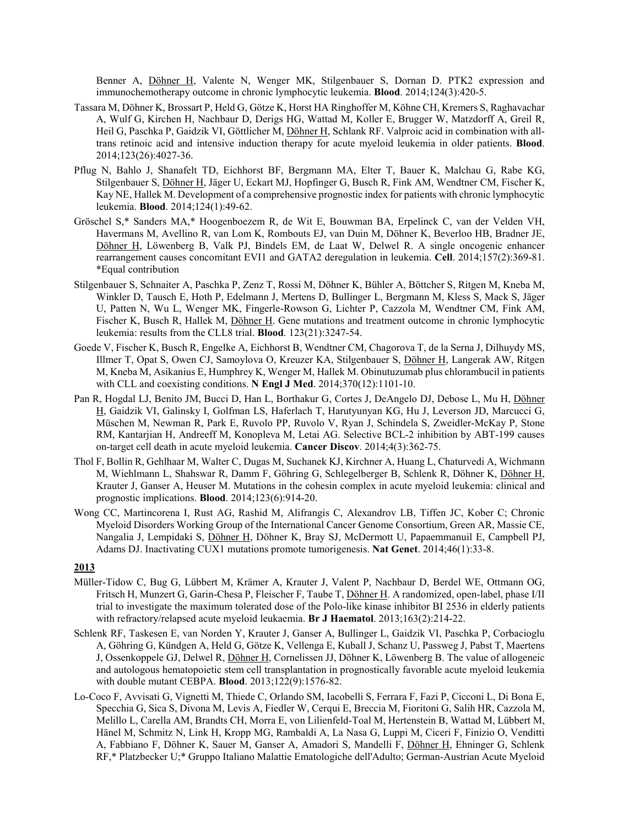Benner A, Döhner H, Valente N, Wenger MK, Stilgenbauer S, Dornan D. PTK2 expression and immunochemotherapy outcome in chronic lymphocytic leukemia. **Blood**. 2014;124(3):420-5.

- Tassara M, Döhner K, Brossart P, Held G, Götze K, Horst HA Ringhoffer M, Köhne CH, Kremers S, Raghavachar A, Wulf G, Kirchen H, Nachbaur D, Derigs HG, Wattad M, Koller E, Brugger W, Matzdorff A, Greil R, Heil G, Paschka P, Gaidzik VI, Göttlicher M, Döhner H, Schlank RF. Valproic acid in combination with alltrans retinoic acid and intensive induction therapy for acute myeloid leukemia in older patients. **Blood**. 2014;123(26):4027-36.
- Pflug N, Bahlo J, Shanafelt TD, Eichhorst BF, Bergmann MA, Elter T, Bauer K, Malchau G, Rabe KG, Stilgenbauer S, Döhner H, Jäger U, Eckart MJ, Hopfinger G, Busch R, Fink AM, Wendtner CM, Fischer K, Kay NE, Hallek M. Development of a comprehensive prognostic index for patients with chronic lymphocytic leukemia. **Blood**. 2014;124(1):49-62.
- Gröschel S,\* Sanders MA,\* Hoogenboezem R, de Wit E, Bouwman BA, Erpelinck C, van der Velden VH, Havermans M, Avellino R, van Lom K, Rombouts EJ, van Duin M, Döhner K, Beverloo HB, Bradner JE, Döhner H, Löwenberg B, Valk PJ, Bindels EM, de Laat W, Delwel R. A single oncogenic enhancer rearrangement causes concomitant EVI1 and GATA2 deregulation in leukemia. **Cell**. 2014;157(2):369-81. \*Equal contribution
- Stilgenbauer S, Schnaiter A, Paschka P, Zenz T, Rossi M, Döhner K, Bühler A, Böttcher S, Ritgen M, Kneba M, Winkler D, Tausch E, Hoth P, Edelmann J, Mertens D, Bullinger L, Bergmann M, Kless S, Mack S, Jäger U, Patten N, Wu L, Wenger MK, Fingerle-Rowson G, Lichter P, Cazzola M, Wendtner CM, Fink AM, Fischer K, Busch R, Hallek M, Döhner H. Gene mutations and treatment outcome in chronic lymphocytic leukemia: results from the CLL8 trial. **Blood**. 123(21):3247-54.
- Goede V, Fischer K, Busch R, Engelke A, Eichhorst B, Wendtner CM, Chagorova T, de la Serna J, Dilhuydy MS, Illmer T, Opat S, Owen CJ, Samoylova O, Kreuzer KA, Stilgenbauer S, Döhner H, Langerak AW, Ritgen M, Kneba M, Asikanius E, Humphrey K, Wenger M, Hallek M. Obinutuzumab plus chlorambucil in patients with CLL and coexisting conditions. **N Engl J Med**. 2014;370(12):1101-10.
- Pan R, Hogdal LJ, Benito JM, Bucci D, Han L, Borthakur G, Cortes J, DeAngelo DJ, Debose L, Mu H, Döhner H, Gaidzik VI, Galinsky I, Golfman LS, Haferlach T, Harutyunyan KG, Hu J, Leverson JD, Marcucci G, Müschen M, Newman R, Park E, Ruvolo PP, Ruvolo V, Ryan J, Schindela S, Zweidler-McKay P, Stone RM, Kantarjian H, Andreeff M, Konopleva M, Letai AG. Selective BCL-2 inhibition by ABT-199 causes on-target cell death in acute myeloid leukemia. **Cancer Discov**. 2014;4(3):362-75.
- Thol F, Bollin R, Gehlhaar M, Walter C, Dugas M, Suchanek KJ, Kirchner A, Huang L, Chaturvedi A, Wichmann M, Wiehlmann L, Shahswar R, Damm F, Göhring G, Schlegelberger B, Schlenk R, Döhner K, Döhner H, Krauter J, Ganser A, Heuser M. Mutations in the cohesin complex in acute myeloid leukemia: clinical and prognostic implications. **Blood**. 2014;123(6):914-20.
- Wong CC, Martincorena I, Rust AG, Rashid M, Alifrangis C, Alexandrov LB, Tiffen JC, Kober C; Chronic Myeloid Disorders Working Group of the International Cancer Genome Consortium, Green AR, Massie CE, Nangalia J, Lempidaki S, Döhner H, Döhner K, Bray SJ, McDermott U, Papaemmanuil E, Campbell PJ, Adams DJ. Inactivating CUX1 mutations promote tumorigenesis. **Nat Genet**. 2014;46(1):33-8.

- Müller-Tidow C, Bug G, Lübbert M, Krämer A, Krauter J, Valent P, Nachbaur D, Berdel WE, Ottmann OG, Fritsch H, Munzert G, Garin-Chesa P, Fleischer F, Taube T, Döhner H. A randomized, open-label, phase I/II trial to investigate the maximum tolerated dose of the Polo-like kinase inhibitor BI 2536 in elderly patients with refractory/relapsed acute myeloid leukaemia. **Br J Haematol**. 2013;163(2):214-22.
- Schlenk RF, Taskesen E, van Norden Y, Krauter J, Ganser A, Bullinger L, Gaidzik VI, Paschka P, Corbacioglu A, Göhring G, Kündgen A, Held G, Götze K, Vellenga E, Kuball J, Schanz U, Passweg J, Pabst T, Maertens J, Ossenkoppele GJ, Delwel R, Döhner H, Cornelissen JJ, Döhner K, Löwenberg B. The value of allogeneic and autologous hematopoietic stem cell transplantation in prognostically favorable acute myeloid leukemia with double mutant CEBPA. **Blood**. 2013;122(9):1576-82.
- Lo-Coco F, Avvisati G, Vignetti M, Thiede C, Orlando SM, Iacobelli S, Ferrara F, Fazi P, Cicconi L, Di Bona E, Specchia G, Sica S, Divona M, Levis A, Fiedler W, Cerqui E, Breccia M, Fioritoni G, Salih HR, Cazzola M, Melillo L, Carella AM, Brandts CH, Morra E, von Lilienfeld-Toal M, Hertenstein B, Wattad M, Lübbert M, Hänel M, Schmitz N, Link H, Kropp MG, Rambaldi A, La Nasa G, Luppi M, Ciceri F, Finizio O, Venditti A, Fabbiano F, Döhner K, Sauer M, Ganser A, Amadori S, Mandelli F, Döhner H, Ehninger G, Schlenk RF,\* Platzbecker U;\* Gruppo Italiano Malattie Ematologiche dell'Adulto; German-Austrian Acute Myeloid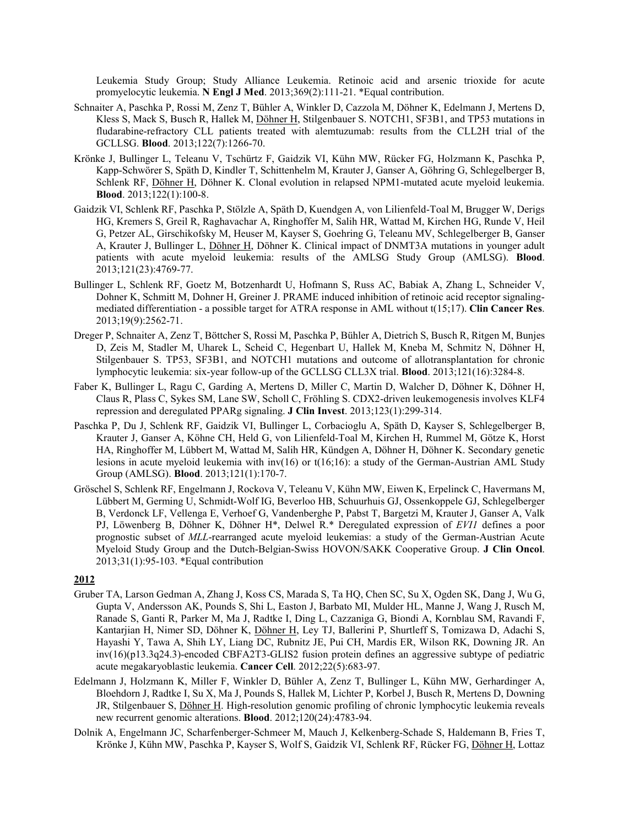Leukemia Study Group; Study Alliance Leukemia. Retinoic acid and arsenic trioxide for acute promyelocytic leukemia. **N Engl J Med**. 2013;369(2):111-21. \*Equal contribution.

- Schnaiter A, Paschka P, Rossi M, Zenz T, Bühler A, Winkler D, Cazzola M, Döhner K, Edelmann J, Mertens D, Kless S, Mack S, Busch R, Hallek M, *Döhner H*, Stilgenbauer S. NOTCH1, SF3B1, and TP53 mutations in fludarabine-refractory CLL patients treated with alemtuzumab: results from the CLL2H trial of the GCLLSG. **Blood**. 2013;122(7):1266-70.
- Krönke J, Bullinger L, Teleanu V, Tschürtz F, Gaidzik VI, Kühn MW, Rücker FG, Holzmann K, Paschka P, Kapp-Schwörer S, Späth D, Kindler T, Schittenhelm M, Krauter J, Ganser A, Göhring G, Schlegelberger B, Schlenk RF, Döhner H, Döhner K. Clonal evolution in relapsed NPM1-mutated acute myeloid leukemia. **Blood**. 2013;122(1):100-8.
- Gaidzik VI, Schlenk RF, Paschka P, Stölzle A, Späth D, Kuendgen A, von Lilienfeld-Toal M, Brugger W, Derigs HG, Kremers S, Greil R, Raghavachar A, Ringhoffer M, Salih HR, Wattad M, Kirchen HG, Runde V, Heil G, Petzer AL, Girschikofsky M, Heuser M, Kayser S, Goehring G, Teleanu MV, Schlegelberger B, Ganser A, Krauter J, Bullinger L, Döhner H, Döhner K. Clinical impact of DNMT3A mutations in younger adult patients with acute myeloid leukemia: results of the AMLSG Study Group (AMLSG). **Blood**. 2013;121(23):4769-77.
- Bullinger L, Schlenk RF, Goetz M, Botzenhardt U, Hofmann S, Russ AC, Babiak A, Zhang L, Schneider V, Dohner K, Schmitt M, Dohner H, Greiner J. PRAME induced inhibition of retinoic acid receptor signalingmediated differentiation - a possible target for ATRA response in AML without t(15;17). **Clin Cancer Res**. 2013;19(9):2562-71.
- Dreger P, Schnaiter A, Zenz T, Böttcher S, Rossi M, Paschka P, Bühler A, Dietrich S, Busch R, Ritgen M, Bunjes D, Zeis M, Stadler M, Uharek L, Scheid C, Hegenbart U, Hallek M, Kneba M, Schmitz N, Döhner H, Stilgenbauer S. TP53, SF3B1, and NOTCH1 mutations and outcome of allotransplantation for chronic lymphocytic leukemia: six-year follow-up of the GCLLSG CLL3X trial. **Blood**. 2013;121(16):3284-8.
- Faber K, Bullinger L, Ragu C, Garding A, Mertens D, Miller C, Martin D, Walcher D, Döhner K, Döhner H, Claus R, Plass C, Sykes SM, Lane SW, Scholl C, Fröhling S. CDX2-driven leukemogenesis involves KLF4 repression and deregulated PPARg signaling. **J Clin Invest**. 2013;123(1):299-314.
- Paschka P, Du J, Schlenk RF, Gaidzik VI, Bullinger L, Corbacioglu A, Späth D, Kayser S, Schlegelberger B, Krauter J, Ganser A, Köhne CH, Held G, von Lilienfeld-Toal M, Kirchen H, Rummel M, Götze K, Horst HA, Ringhoffer M, Lübbert M, Wattad M, Salih HR, Kündgen A, Döhner H, Döhner K. Secondary genetic lesions in acute myeloid leukemia with inv(16) or  $t(16;16)$ : a study of the German-Austrian AML Study Group (AMLSG). **Blood**. 2013;121(1):170-7.
- Gröschel S, Schlenk RF, Engelmann J, Rockova V, Teleanu V, Kühn MW, Eiwen K, Erpelinck C, Havermans M, Lübbert M, Germing U, Schmidt-Wolf IG, Beverloo HB, Schuurhuis GJ, Ossenkoppele GJ, Schlegelberger B, Verdonck LF, Vellenga E, Verhoef G, Vandenberghe P, Pabst T, Bargetzi M, Krauter J, Ganser A, Valk PJ, Löwenberg B, Döhner K, Döhner H\*, Delwel R.\* Deregulated expression of *EVI1* defines a poor prognostic subset of *MLL*-rearranged acute myeloid leukemias: a study of the German-Austrian Acute Myeloid Study Group and the Dutch-Belgian-Swiss HOVON/SAKK Cooperative Group. **J Clin Oncol**. 2013;31(1):95-103. \*Equal contribution

- Gruber TA, Larson Gedman A, Zhang J, Koss CS, Marada S, Ta HQ, Chen SC, Su X, Ogden SK, Dang J, Wu G, Gupta V, Andersson AK, Pounds S, Shi L, Easton J, Barbato MI, Mulder HL, Manne J, Wang J, Rusch M, Ranade S, Ganti R, Parker M, Ma J, Radtke I, Ding L, Cazzaniga G, Biondi A, Kornblau SM, Ravandi F, Kantarjian H, Nimer SD, Döhner K, Döhner H, Ley TJ, Ballerini P, Shurtleff S, Tomizawa D, Adachi S, Hayashi Y, Tawa A, Shih LY, Liang DC, Rubnitz JE, Pui CH, Mardis ER, Wilson RK, Downing JR. An inv(16)(p13.3q24.3)-encoded CBFA2T3-GLIS2 fusion protein defines an aggressive subtype of pediatric acute megakaryoblastic leukemia. **Cancer Cell**. 2012;22(5):683-97.
- Edelmann J, Holzmann K, Miller F, Winkler D, Bühler A, Zenz T, Bullinger L, Kühn MW, Gerhardinger A, Bloehdorn J, Radtke I, Su X, Ma J, Pounds S, Hallek M, Lichter P, Korbel J, Busch R, Mertens D, Downing JR, Stilgenbauer S, Döhner H. High-resolution genomic profiling of chronic lymphocytic leukemia reveals new recurrent genomic alterations. **Blood**. 2012;120(24):4783-94.
- Dolnik A, Engelmann JC, Scharfenberger-Schmeer M, Mauch J, Kelkenberg-Schade S, Haldemann B, Fries T, Krönke J, Kühn MW, Paschka P, Kayser S, Wolf S, Gaidzik VI, Schlenk RF, Rücker FG, Döhner H, Lottaz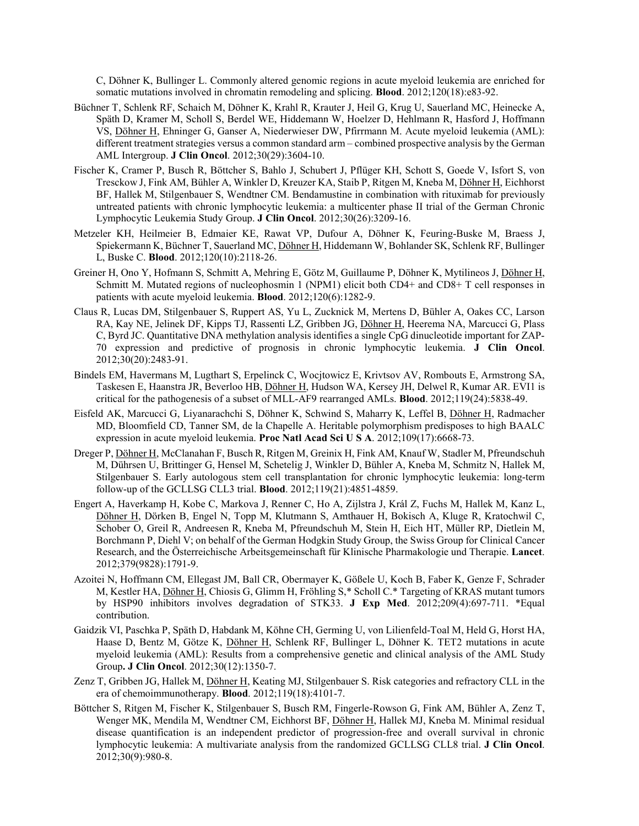C, Döhner K, Bullinger L. Commonly altered genomic regions in acute myeloid leukemia are enriched for somatic mutations involved in chromatin remodeling and splicing. **Blood**. 2012;120(18):e83-92.

- Büchner T, Schlenk RF, Schaich M, Döhner K, Krahl R, Krauter J, Heil G, Krug U, Sauerland MC, Heinecke A, Späth D, Kramer M, Scholl S, Berdel WE, Hiddemann W, Hoelzer D, Hehlmann R, Hasford J, Hoffmann VS, Döhner H, Ehninger G, Ganser A, Niederwieser DW, Pfirrmann M. Acute myeloid leukemia (AML): different treatment strategies versus a common standard arm – combined prospective analysis by the German AML Intergroup. **J Clin Oncol**. 2012;30(29):3604-10.
- Fischer K, Cramer P, Busch R, Böttcher S, Bahlo J, Schubert J, Pflüger KH, Schott S, Goede V, Isfort S, von Tresckow J, Fink AM, Bühler A, Winkler D, Kreuzer KA, Staib P, Ritgen M, Kneba M, Döhner H, Eichhorst BF, Hallek M, Stilgenbauer S, Wendtner CM. Bendamustine in combination with rituximab for previously untreated patients with chronic lymphocytic leukemia: a multicenter phase II trial of the German Chronic Lymphocytic Leukemia Study Group. **J Clin Oncol**. 2012;30(26):3209-16.
- Metzeler KH, Heilmeier B, Edmaier KE, Rawat VP, Dufour A, Döhner K, Feuring-Buske M, Braess J, Spiekermann K, Büchner T, Sauerland MC, Döhner H, Hiddemann W, Bohlander SK, Schlenk RF, Bullinger L, Buske C. **Blood**. 2012;120(10):2118-26.
- Greiner H, Ono Y, Hofmann S, Schmitt A, Mehring E, Götz M, Guillaume P, Döhner K, Mytilineos J, Döhner H, Schmitt M. Mutated regions of nucleophosmin 1 (NPM1) elicit both CD4+ and CD8+ T cell responses in patients with acute myeloid leukemia. **Blood**. 2012;120(6):1282-9.
- Claus R, Lucas DM, Stilgenbauer S, Ruppert AS, Yu L, Zucknick M, Mertens D, Bühler A, Oakes CC, Larson RA, Kay NE, Jelinek DF, Kipps TJ, Rassenti LZ, Gribben JG, Döhner H, Heerema NA, Marcucci G, Plass C, Byrd JC. Quantitative DNA methylation analysis identifies a single CpG dinucleotide important for ZAP-70 expression and predictive of prognosis in chronic lymphocytic leukemia. **J Clin Oncol**. 2012;30(20):2483-91.
- Bindels EM, Havermans M, Lugthart S, Erpelinck C, Wocjtowicz E, Krivtsov AV, Rombouts E, Armstrong SA, Taskesen E, Haanstra JR, Beverloo HB, Döhner H, Hudson WA, Kersey JH, Delwel R, Kumar AR. EVI1 is critical for the pathogenesis of a subset of MLL-AF9 rearranged AMLs. **Blood**. 2012;119(24):5838-49.
- Eisfeld AK, Marcucci G, Liyanarachchi S, Döhner K, Schwind S, Maharry K, Leffel B, Döhner H, Radmacher MD, Bloomfield CD, Tanner SM, de la Chapelle A. Heritable polymorphism predisposes to high BAALC expression in acute myeloid leukemia. **Proc Natl Acad Sci U S A**. 2012;109(17):6668-73.
- Dreger P, Döhner H, McClanahan F, Busch R, Ritgen M, Greinix H, Fink AM, Knauf W, Stadler M, Pfreundschuh M, Dührsen U, Brittinger G, Hensel M, Schetelig J, Winkler D, Bühler A, Kneba M, Schmitz N, Hallek M, Stilgenbauer S. Early autologous stem cell transplantation for chronic lymphocytic leukemia: long-term follow-up of the GCLLSG CLL3 trial. **Blood**. 2012;119(21):4851-4859.
- Engert A, Haverkamp H, Kobe C, Markova J, Renner C, Ho A, Zijlstra J, Král Z, Fuchs M, Hallek M, Kanz L, Döhner H, Dörken B, Engel N, Topp M, Klutmann S, Amthauer H, Bokisch A, Kluge R, Kratochwil C, Schober O, Greil R, Andreesen R, Kneba M, Pfreundschuh M, Stein H, Eich HT, Müller RP, Dietlein M, Borchmann P, Diehl V; on behalf of the German Hodgkin Study Group, the Swiss Group for Clinical Cancer Research, and the Österreichische Arbeitsgemeinschaft für Klinische Pharmakologie und Therapie. **Lancet**. 2012;379(9828):1791-9.
- Azoitei N, Hoffmann CM, Ellegast JM, Ball CR, Obermayer K, Gößele U, Koch B, Faber K, Genze F, Schrader M, Kestler HA, Döhner H, Chiosis G, Glimm H, Fröhling S,\* Scholl C.\* Targeting of KRAS mutant tumors by HSP90 inhibitors involves degradation of STK33. **J Exp Med**. 2012;209(4):697-711. \*Equal contribution.
- Gaidzik VI, Paschka P, Späth D, Habdank M, Köhne CH, Germing U, von Lilienfeld-Toal M, Held G, Horst HA, Haase D, Bentz M, Götze K, Döhner H, Schlenk RF, Bullinger L, Döhner K. TET2 mutations in acute myeloid leukemia (AML): Results from a comprehensive genetic and clinical analysis of the AML Study Group**. J Clin Oncol**. 2012;30(12):1350-7.
- Zenz T, Gribben JG, Hallek M, Döhner H, Keating MJ, Stilgenbauer S. Risk categories and refractory CLL in the era of chemoimmunotherapy. **Blood**. 2012;119(18):4101-7.
- Böttcher S, Ritgen M, Fischer K, Stilgenbauer S, Busch RM, Fingerle-Rowson G, Fink AM, Bühler A, Zenz T, Wenger MK, Mendila M, Wendtner CM, Eichhorst BF, Döhner H, Hallek MJ, Kneba M. Minimal residual disease quantification is an independent predictor of progression-free and overall survival in chronic lymphocytic leukemia: A multivariate analysis from the randomized GCLLSG CLL8 trial. **J Clin Oncol**. 2012;30(9):980-8.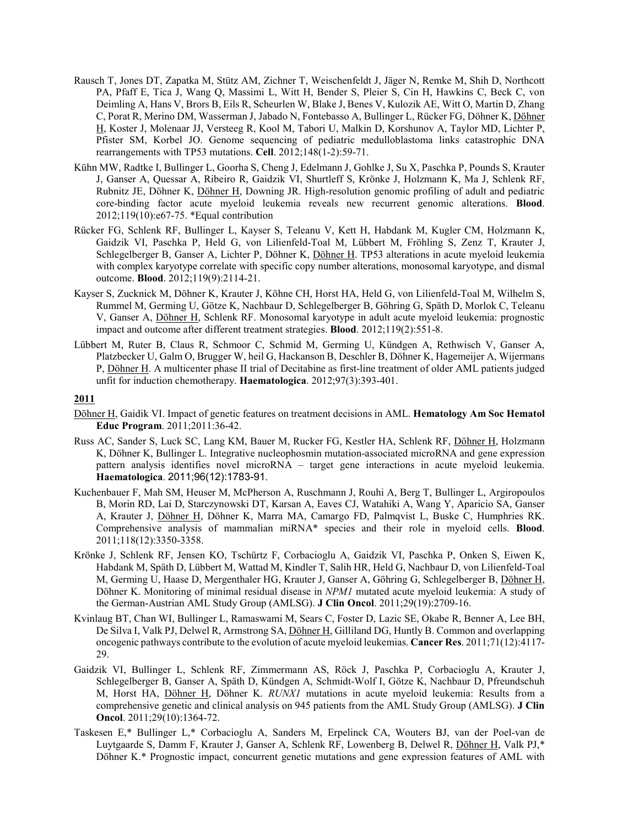- Rausch T, Jones DT, Zapatka M, Stütz AM, Zichner T, Weischenfeldt J, Jäger N, Remke M, Shih D, Northcott PA, Pfaff E, Tica J, Wang Q, Massimi L, Witt H, Bender S, Pleier S, Cin H, Hawkins C, Beck C, von Deimling A, Hans V, Brors B, Eils R, Scheurlen W, Blake J, Benes V, Kulozik AE, Witt O, Martin D, Zhang C, Porat R, Merino DM, Wasserman J, Jabado N, Fontebasso A, Bullinger L, Rücker FG, Döhner K, Döhner H, Koster J, Molenaar JJ, Versteeg R, Kool M, Tabori U, Malkin D, Korshunov A, Taylor MD, Lichter P, Pfister SM, Korbel JO. Genome sequencing of pediatric medulloblastoma links catastrophic DNA rearrangements with TP53 mutations. **Cell**. 2012;148(1-2):59-71.
- Kühn MW, Radtke I, Bullinger L, Goorha S, Cheng J, Edelmann J, Gohlke J, Su X, Paschka P, Pounds S, Krauter J, Ganser A, Quessar A, Ribeiro R, Gaidzik VI, Shurtleff S, Krönke J, Holzmann K, Ma J, Schlenk RF, Rubnitz JE, Döhner K, Döhner H, Downing JR. High-resolution genomic profiling of adult and pediatric core-binding factor acute myeloid leukemia reveals new recurrent genomic alterations. **Blood**. 2012;119(10):e67-75. \*Equal contribution
- Rücker FG, Schlenk RF, Bullinger L, Kayser S, Teleanu V, Kett H, Habdank M, Kugler CM, Holzmann K, Gaidzik VI, Paschka P, Held G, von Lilienfeld-Toal M, Lübbert M, Fröhling S, Zenz T, Krauter J, Schlegelberger B, Ganser A, Lichter P, Döhner K, Döhner H. TP53 alterations in acute myeloid leukemia with complex karyotype correlate with specific copy number alterations, monosomal karyotype, and dismal outcome. **Blood**. 2012;119(9):2114-21.
- Kayser S, Zucknick M, Döhner K, Krauter J, Köhne CH, Horst HA, Held G, von Lilienfeld-Toal M, Wilhelm S, Rummel M, Germing U, Götze K, Nachbaur D, Schlegelberger B, Göhring G, Späth D, Morlok C, Teleanu V, Ganser A, Döhner H, Schlenk RF. Monosomal karyotype in adult acute myeloid leukemia: prognostic impact and outcome after different treatment strategies. **Blood**. 2012;119(2):551-8.
- Lübbert M, Ruter B, Claus R, Schmoor C, Schmid M, Germing U, Kündgen A, Rethwisch V, Ganser A, Platzbecker U, Galm O, Brugger W, heil G, Hackanson B, Deschler B, Döhner K, Hagemeijer A, Wijermans P, Döhner H. A multicenter phase II trial of Decitabine as first-line treatment of older AML patients judged unfit for induction chemotherapy. **Haematologica**. 2012;97(3):393-401.

- Döhner H, Gaidik VI. Impact of genetic features on treatment decisions in AML. **Hematology Am Soc Hematol Educ Program**. 2011;2011:36-42.
- Russ AC, Sander S, Luck SC, Lang KM, Bauer M, Rucker FG, Kestler HA, Schlenk RF, Döhner H, Holzmann K, Döhner K, Bullinger L. Integrative nucleophosmin mutation-associated microRNA and gene expression pattern analysis identifies novel microRNA – target gene interactions in acute myeloid leukemia. **Haematologica**. 2011;96(12):1783-91.
- Kuchenbauer F, Mah SM, Heuser M, McPherson A, Ruschmann J, Rouhi A, Berg T, Bullinger L, Argiropoulos B, Morin RD, Lai D, Starczynowski DT, Karsan A, Eaves CJ, Watahiki A, Wang Y, Aparicio SA, Ganser A, Krauter J, Döhner H, Döhner K, Marra MA, Camargo FD, Palmqvist L, Buske C, Humphries RK. Comprehensive analysis of mammalian miRNA\* species and their role in myeloid cells. **Blood**. 2011;118(12):3350-3358.
- Krönke J, Schlenk RF, Jensen KO, Tschürtz F, Corbacioglu A, Gaidzik VI, Paschka P, Onken S, Eiwen K, Habdank M, Späth D, Lübbert M, Wattad M, Kindler T, Salih HR, Held G, Nachbaur D, von Lilienfeld-Toal M, Germing U, Haase D, Mergenthaler HG, Krauter J, Ganser A, Göhring G, Schlegelberger B, Döhner H, Döhner K. Monitoring of minimal residual disease in *NPM1* mutated acute myeloid leukemia: A study of the German-Austrian AML Study Group (AMLSG). **J Clin Oncol**. 2011;29(19):2709-16.
- Kvinlaug BT, Chan WI, Bullinger L, Ramaswami M, Sears C, Foster D, Lazic SE, Okabe R, Benner A, Lee BH, De Silva I, Valk PJ, Delwel R, Armstrong SA, *Döhner H*, Gilliland DG, Huntly B. Common and overlapping oncogenic pathways contribute to the evolution of acute myeloid leukemias. **Cancer Res**. 2011;71(12):4117- 29.
- Gaidzik VI, Bullinger L, Schlenk RF, Zimmermann AS, Röck J, Paschka P, Corbacioglu A, Krauter J, Schlegelberger B, Ganser A, Späth D, Kündgen A, Schmidt-Wolf I, Götze K, Nachbaur D, Pfreundschuh M, Horst HA, Döhner H, Döhner K. *RUNX1* mutations in acute myeloid leukemia: Results from a comprehensive genetic and clinical analysis on 945 patients from the AML Study Group (AMLSG). **J Clin Oncol**. 2011;29(10):1364-72.
- Taskesen E,\* Bullinger L,\* Corbacioglu A, Sanders M, Erpelinck CA, Wouters BJ, van der Poel-van de Luytgaarde S, Damm F, Krauter J, Ganser A, Schlenk RF, Lowenberg B, Delwel R, Döhner H, Valk PJ,\* Döhner K.\* Prognostic impact, concurrent genetic mutations and gene expression features of AML with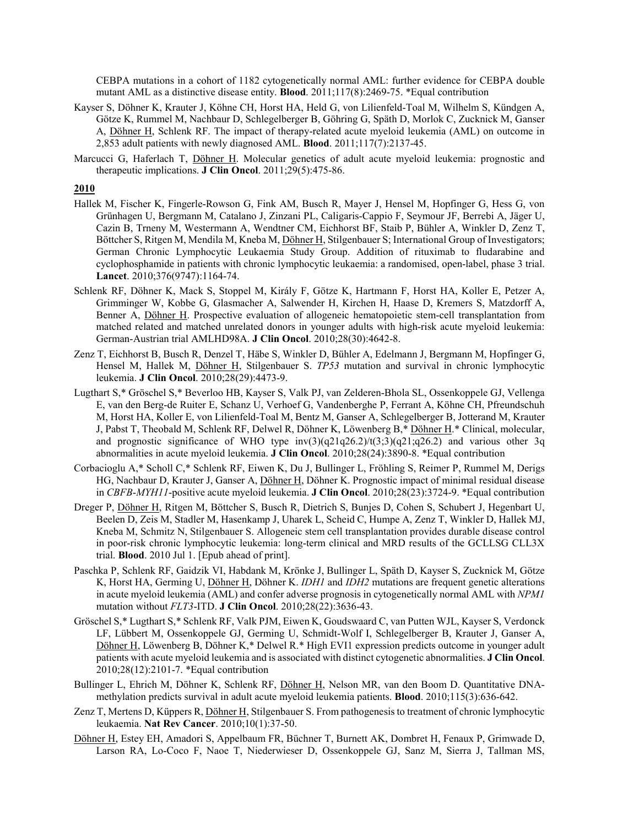CEBPA mutations in a cohort of 1182 cytogenetically normal AML: further evidence for CEBPA double mutant AML as a distinctive disease entity. **Blood**. 2011;117(8):2469-75. \*Equal contribution

- Kayser S, Döhner K, Krauter J, Köhne CH, Horst HA, Held G, von Lilienfeld-Toal M, Wilhelm S, Kündgen A, Götze K, Rummel M, Nachbaur D, Schlegelberger B, Göhring G, Späth D, Morlok C, Zucknick M, Ganser A, Döhner H, Schlenk RF. The impact of therapy-related acute myeloid leukemia (AML) on outcome in 2,853 adult patients with newly diagnosed AML. **Blood**. 2011;117(7):2137-45.
- Marcucci G, Haferlach T, Döhner H. Molecular genetics of adult acute myeloid leukemia: prognostic and therapeutic implications. **J Clin Oncol**. 2011;29(5):475-86.

- Hallek M, Fischer K, Fingerle-Rowson G, Fink AM, Busch R, Mayer J, Hensel M, Hopfinger G, Hess G, von Grünhagen U, Bergmann M, Catalano J, Zinzani PL, Caligaris-Cappio F, Seymour JF, Berrebi A, Jäger U, Cazin B, Trneny M, Westermann A, Wendtner CM, Eichhorst BF, Staib P, Bühler A, Winkler D, Zenz T, Böttcher S, Ritgen M, Mendila M, Kneba M, Döhner H, Stilgenbauer S; International Group of Investigators; German Chronic Lymphocytic Leukaemia Study Group. Addition of rituximab to fludarabine and cyclophosphamide in patients with chronic lymphocytic leukaemia: a randomised, open-label, phase 3 trial. **Lancet**. 2010;376(9747):1164-74.
- Schlenk RF, Döhner K, Mack S, Stoppel M, Király F, Götze K, Hartmann F, Horst HA, Koller E, Petzer A, Grimminger W, Kobbe G, Glasmacher A, Salwender H, Kirchen H, Haase D, Kremers S, Matzdorff A, Benner A, Döhner H. Prospective evaluation of allogeneic hematopoietic stem-cell transplantation from matched related and matched unrelated donors in younger adults with high-risk acute myeloid leukemia: German-Austrian trial AMLHD98A. **J Clin Oncol**. 2010;28(30):4642-8.
- Zenz T, Eichhorst B, Busch R, Denzel T, Häbe S, Winkler D, Bühler A, Edelmann J, Bergmann M, Hopfinger G, Hensel M, Hallek M, Döhner H, Stilgenbauer S. *TP53* mutation and survival in chronic lymphocytic leukemia. **J Clin Oncol**. 2010;28(29):4473-9.
- Lugthart S,\* Gröschel S,\* Beverloo HB, Kayser S, Valk PJ, van Zelderen-Bhola SL, Ossenkoppele GJ, Vellenga E, van den Berg-de Ruiter E, Schanz U, Verhoef G, Vandenberghe P, Ferrant A, Köhne CH, Pfreundschuh M, Horst HA, Koller E, von Lilienfeld-Toal M, Bentz M, Ganser A, Schlegelberger B, Jotterand M, Krauter J, Pabst T, Theobald M, Schlenk RF, Delwel R, Döhner K, Löwenberg B,\* Döhner H.\* Clinical, molecular, and prognostic significance of WHO type inv(3)(q21q26.2)/t(3;3)(q21;q26.2) and various other 3q abnormalities in acute myeloid leukemia. **J Clin Oncol**. 2010;28(24):3890-8. \*Equal contribution
- Corbacioglu A,\* Scholl C,\* Schlenk RF, Eiwen K, Du J, Bullinger L, Fröhling S, Reimer P, Rummel M, Derigs HG, Nachbaur D, Krauter J, Ganser A, *Döhner H*, Döhner K. Prognostic impact of minimal residual disease in *CBFB*-*MYH11*-positive acute myeloid leukemia. **J Clin Oncol**. 2010;28(23):3724-9. \*Equal contribution
- Dreger P, Döhner H, Ritgen M, Böttcher S, Busch R, Dietrich S, Bunjes D, Cohen S, Schubert J, Hegenbart U, Beelen D, Zeis M, Stadler M, Hasenkamp J, Uharek L, Scheid C, Humpe A, Zenz T, Winkler D, Hallek MJ, Kneba M, Schmitz N, Stilgenbauer S. Allogeneic stem cell transplantation provides durable disease control in poor-risk chronic lymphocytic leukemia: long-term clinical and MRD results of the GCLLSG CLL3X trial. **Blood**. 2010 Jul 1. [Epub ahead of print].
- Paschka P, Schlenk RF, Gaidzik VI, Habdank M, Krönke J, Bullinger L, Späth D, Kayser S, Zucknick M, Götze K, Horst HA, Germing U, Döhner H, Döhner K. *IDH1* and *IDH2* mutations are frequent genetic alterations in acute myeloid leukemia (AML) and confer adverse prognosis in cytogenetically normal AML with *NPM1* mutation without *FLT3*-ITD. **J Clin Oncol**. 2010;28(22):3636-43.
- Gröschel S,\* Lugthart S,\* Schlenk RF, Valk PJM, Eiwen K, Goudswaard C, van Putten WJL, Kayser S, Verdonck LF, Lübbert M, Ossenkoppele GJ, Germing U, Schmidt-Wolf I, Schlegelberger B, Krauter J, Ganser A, Döhner H, Löwenberg B, Döhner K,\* Delwel R.\* High EVI1 expression predicts outcome in younger adult patients with acute myeloid leukemia and is associated with distinct cytogenetic abnormalities. **J Clin Oncol**. 2010;28(12):2101-7. \*Equal contribution
- Bullinger L, Ehrich M, Döhner K, Schlenk RF, Döhner H, Nelson MR, van den Boom D. Quantitative DNAmethylation predicts survival in adult acute myeloid leukemia patients. **Blood**. 2010;115(3):636-642.
- Zenz T, Mertens D, Küppers R, Döhner H, Stilgenbauer S. From pathogenesis to treatment of chronic lymphocytic leukaemia. **Nat Rev Cancer**. 2010;10(1):37-50.
- Döhner H, Estey EH, Amadori S, Appelbaum FR, Büchner T, Burnett AK, Dombret H, Fenaux P, Grimwade D, Larson RA, Lo-Coco F, Naoe T, Niederwieser D, Ossenkoppele GJ, Sanz M, Sierra J, Tallman MS,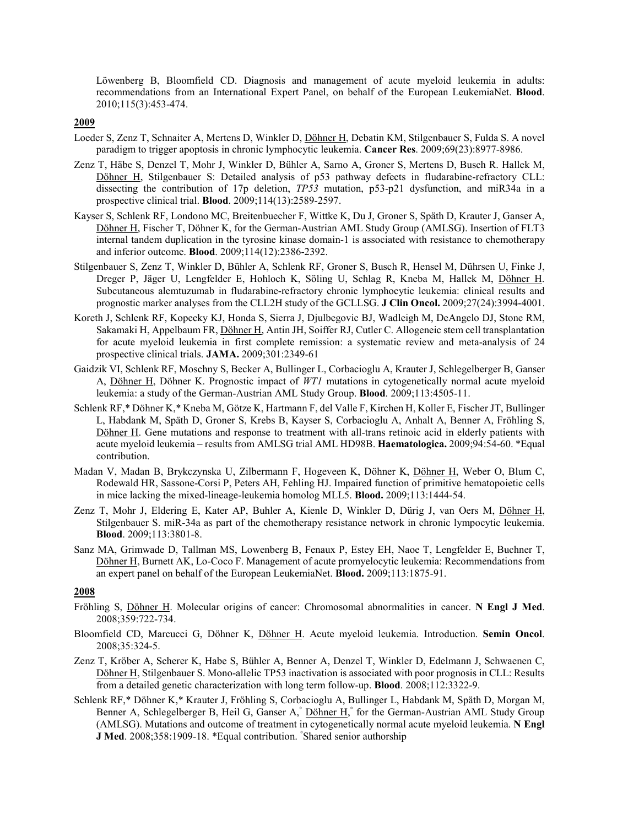Löwenberg B, Bloomfield CD. Diagnosis and management of acute myeloid leukemia in adults: recommendations from an International Expert Panel, on behalf of the European LeukemiaNet. **Blood**. 2010;115(3):453-474.

### **2009**

- Loeder S, Zenz T, Schnaiter A, Mertens D, Winkler D, Döhner H, Debatin KM, Stilgenbauer S, Fulda S. A novel paradigm to trigger apoptosis in chronic lymphocytic leukemia. **Cancer Res**. 2009;69(23):8977-8986.
- Zenz T, Häbe S, Denzel T, Mohr J, Winkler D, Bühler A, Sarno A, Groner S, Mertens D, Busch R. Hallek M, Döhner H, Stilgenbauer S: Detailed analysis of p53 pathway defects in fludarabine-refractory CLL: dissecting the contribution of 17p deletion, *TP53* mutation, p53-p21 dysfunction, and miR34a in a prospective clinical trial. **Blood**. 2009;114(13):2589-2597.
- Kayser S, Schlenk RF, Londono MC, Breitenbuecher F, Wittke K, Du J, Groner S, Späth D, Krauter J, Ganser A, Döhner H, Fischer T, Döhner K, for the German-Austrian AML Study Group (AMLSG). Insertion of FLT3 internal tandem duplication in the tyrosine kinase domain-1 is associated with resistance to chemotherapy and inferior outcome. **Blood**. 2009;114(12):2386-2392.
- Stilgenbauer S, Zenz T, Winkler D, Bühler A, Schlenk RF, Groner S, Busch R, Hensel M, Dührsen U, Finke J, Dreger P, Jäger U, Lengfelder E, Hohloch K, Söling U, Schlag R, Kneba M, Hallek M, Döhner H. Subcutaneous alemtuzumab in fludarabine-refractory chronic lymphocytic leukemia: clinical results and prognostic marker analyses from the CLL2H study of the GCLLSG. **J Clin Oncol.** 2009;27(24):3994-4001.
- Koreth J, Schlenk RF, Kopecky KJ, Honda S, Sierra J, Djulbegovic BJ, Wadleigh M, DeAngelo DJ, Stone RM, Sakamaki H, Appelbaum FR, Döhner H, Antin JH, Soiffer RJ, Cutler C. Allogeneic stem cell transplantation for acute myeloid leukemia in first complete remission: a systematic review and meta-analysis of 24 prospective clinical trials. **JAMA.** 2009;301:2349-61
- Gaidzik VI, Schlenk RF, Moschny S, Becker A, Bullinger L, Corbacioglu A, Krauter J, Schlegelberger B, Ganser A, Döhner H, Döhner K. Prognostic impact of *WT1* mutations in cytogenetically normal acute myeloid leukemia: a study of the German-Austrian AML Study Group. **Blood**. 2009;113:4505-11.
- Schlenk RF,\* Döhner K,\* Kneba M, Götze K, Hartmann F, del Valle F, Kirchen H, Koller E, Fischer JT, Bullinger L, Habdank M, Späth D, Groner S, Krebs B, Kayser S, Corbacioglu A, Anhalt A, Benner A, Fröhling S, Döhner H. Gene mutations and response to treatment with all-trans retinoic acid in elderly patients with acute myeloid leukemia – results from AMLSG trial AML HD98B. **Haematologica.** 2009;94:54-60. \*Equal contribution.
- Madan V, Madan B, Brykczynska U, Zilbermann F, Hogeveen K, Döhner K, Döhner H, Weber O, Blum C, Rodewald HR, Sassone-Corsi P, Peters AH, Fehling HJ. Impaired function of primitive hematopoietic cells in mice lacking the mixed-lineage-leukemia homolog MLL5. **Blood.** 2009;113:1444-54.
- Zenz T, Mohr J, Eldering E, Kater AP, Buhler A, Kienle D, Winkler D, Dürig J, van Oers M, Döhner H, Stilgenbauer S. miR-34a as part of the chemotherapy resistance network in chronic lympocytic leukemia. **Blood**. 2009;113:3801-8.
- [Sanz MA,](http://www.ncbi.nlm.nih.gov/sites/entrez?Db=pubmed&Cmd=Search&Term=%22Sanz%20MA%22%5BAuthor%5D&itool=EntrezSystem2.PEntrez.Pubmed.Pubmed_ResultsPanel.Pubmed_DiscoveryPanel.Pubmed_RVAbstractPlus) [Grimwade D,](http://www.ncbi.nlm.nih.gov/sites/entrez?Db=pubmed&Cmd=Search&Term=%22Grimwade%20D%22%5BAuthor%5D&itool=EntrezSystem2.PEntrez.Pubmed.Pubmed_ResultsPanel.Pubmed_DiscoveryPanel.Pubmed_RVAbstractPlus) [Tallman MS,](http://www.ncbi.nlm.nih.gov/sites/entrez?Db=pubmed&Cmd=Search&Term=%22Tallman%20MS%22%5BAuthor%5D&itool=EntrezSystem2.PEntrez.Pubmed.Pubmed_ResultsPanel.Pubmed_DiscoveryPanel.Pubmed_RVAbstractPlus) [Lowenberg B,](http://www.ncbi.nlm.nih.gov/sites/entrez?Db=pubmed&Cmd=Search&Term=%22Lowenberg%20B%22%5BAuthor%5D&itool=EntrezSystem2.PEntrez.Pubmed.Pubmed_ResultsPanel.Pubmed_DiscoveryPanel.Pubmed_RVAbstractPlus) [Fenaux P,](http://www.ncbi.nlm.nih.gov/sites/entrez?Db=pubmed&Cmd=Search&Term=%22Fenaux%20P%22%5BAuthor%5D&itool=EntrezSystem2.PEntrez.Pubmed.Pubmed_ResultsPanel.Pubmed_DiscoveryPanel.Pubmed_RVAbstractPlus) [Estey EH,](http://www.ncbi.nlm.nih.gov/sites/entrez?Db=pubmed&Cmd=Search&Term=%22Estey%20EH%22%5BAuthor%5D&itool=EntrezSystem2.PEntrez.Pubmed.Pubmed_ResultsPanel.Pubmed_DiscoveryPanel.Pubmed_RVAbstractPlus) [Naoe T,](http://www.ncbi.nlm.nih.gov/sites/entrez?Db=pubmed&Cmd=Search&Term=%22Naoe%20T%22%5BAuthor%5D&itool=EntrezSystem2.PEntrez.Pubmed.Pubmed_ResultsPanel.Pubmed_DiscoveryPanel.Pubmed_RVAbstractPlus) [Lengfelder E,](http://www.ncbi.nlm.nih.gov/sites/entrez?Db=pubmed&Cmd=Search&Term=%22Lengfelder%20E%22%5BAuthor%5D&itool=EntrezSystem2.PEntrez.Pubmed.Pubmed_ResultsPanel.Pubmed_DiscoveryPanel.Pubmed_RVAbstractPlus) [Buchner T,](http://www.ncbi.nlm.nih.gov/sites/entrez?Db=pubmed&Cmd=Search&Term=%22Buchner%20T%22%5BAuthor%5D&itool=EntrezSystem2.PEntrez.Pubmed.Pubmed_ResultsPanel.Pubmed_DiscoveryPanel.Pubmed_RVAbstractPlus) [Döhner H,](http://www.ncbi.nlm.nih.gov/sites/entrez?Db=pubmed&Cmd=Search&Term=%22Dohner%20H%22%5BAuthor%5D&itool=EntrezSystem2.PEntrez.Pubmed.Pubmed_ResultsPanel.Pubmed_DiscoveryPanel.Pubmed_RVAbstractPlus) [Burnett AK,](http://www.ncbi.nlm.nih.gov/sites/entrez?Db=pubmed&Cmd=Search&Term=%22Burnett%20AK%22%5BAuthor%5D&itool=EntrezSystem2.PEntrez.Pubmed.Pubmed_ResultsPanel.Pubmed_DiscoveryPanel.Pubmed_RVAbstractPlus) [Lo-Coco F.](http://www.ncbi.nlm.nih.gov/sites/entrez?Db=pubmed&Cmd=Search&Term=%22Lo-Coco%20F%22%5BAuthor%5D&itool=EntrezSystem2.PEntrez.Pubmed.Pubmed_ResultsPanel.Pubmed_DiscoveryPanel.Pubmed_RVAbstractPlus) Management of acute promyelocytic leukemia: Recommendations from an expert panel on behalf of the European LeukemiaNet. **[Blood.](javascript:AL_get(this,%20)** 2009;113:1875-91.

- Fröhling S, Döhner H. Molecular origins of cancer: Chromosomal abnormalities in cancer. **N Engl J Med**. 2008;359:722-734.
- Bloomfield CD, Marcucci G, Döhner K, Döhner H. Acute myeloid leukemia. Introduction. **Semin Oncol**. 2008;35:324-5.
- Zenz T, Kröber A, Scherer K, Habe S, Bühler A, Benner A, Denzel T, Winkler D, Edelmann J, Schwaenen C, Döhner H, Stilgenbauer S. Mono-allelic TP53 inactivation is associated with poor prognosis in CLL: Results from a detailed genetic characterization with long term follow-up. **Blood**. 2008;112:3322-9.
- Schlenk RF,\* Döhner K,\* Krauter J, Fröhling S, Corbacioglu A, Bullinger L, Habdank M, Späth D, Morgan M, Benner A, Schlegelberger B, Heil G, Ganser A, <sup>2</sup> Döhner H, for the German-Austrian AML Study Group (AMLSG). Mutations and outcome of treatment in cytogenetically normal acute myeloid leukemia. **N Engl J Med**. 2008;358:1909-18. \*Equal contribution. ° Shared senior authorship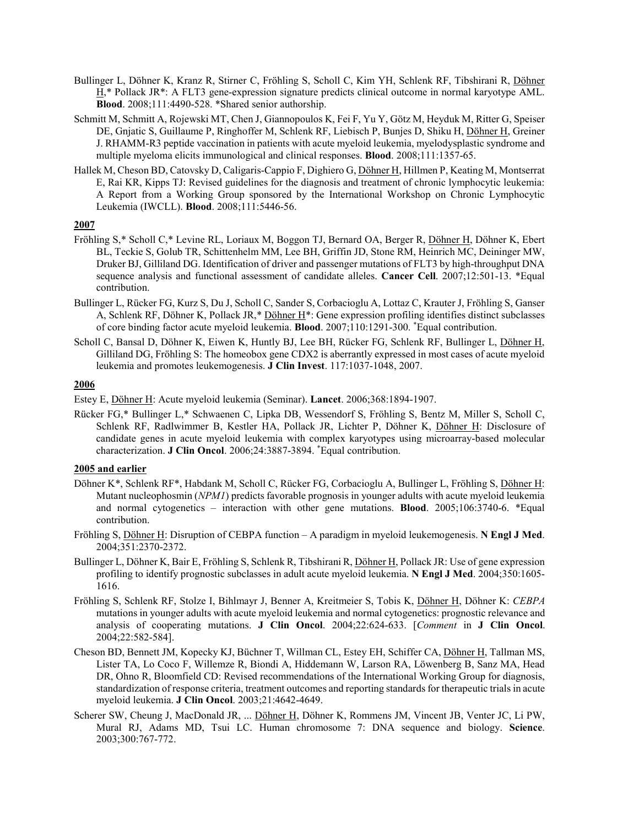- Bullinger L, Döhner K, Kranz R, Stirner C, Fröhling S, Scholl C, Kim YH, Schlenk RF, Tibshirani R, Döhner H,\* Pollack JR\*: A FLT3 gene-expression signature predicts clinical outcome in normal karyotype AML. **Blood**. 2008;111:4490-528. \*Shared senior authorship.
- Schmitt M, Schmitt A, Rojewski MT, Chen J, Giannopoulos K, Fei F, Yu Y, Götz M, Heyduk M, Ritter G, Speiser DE, Gnjatic S, Guillaume P, Ringhoffer M, Schlenk RF, Liebisch P, Bunjes D, Shiku H, Döhner H, Greiner J. RHAMM-R3 peptide vaccination in patients with acute myeloid leukemia, myelodysplastic syndrome and multiple myeloma elicits immunological and clinical responses. **Blood**. 2008;111:1357-65.
- Hallek M, Cheson BD, Catovsky D, Caligaris-Cappio F, Dighiero G, Döhner H, Hillmen P, Keating M, Montserrat E, Rai KR, Kipps TJ: Revised guidelines for the diagnosis and treatment of chronic lymphocytic leukemia: A Report from a Working Group sponsored by the International Workshop on Chronic Lymphocytic Leukemia (IWCLL). **Blood**. 2008;111:5446-56.

- Fröhling S,\* Scholl C,\* Levine RL, Loriaux M, Boggon TJ, Bernard OA, Berger R, Döhner H, Döhner K, Ebert BL, Teckie S, Golub TR, Schittenhelm MM, Lee BH, Griffin JD, Stone RM, Heinrich MC, Deininger MW, Druker BJ, Gilliland DG. Identification of driver and passenger mutations of FLT3 by high-throughput DNA sequence analysis and functional assessment of candidate alleles. **Cancer Cell**. 2007;12:501-13. \*Equal contribution.
- Bullinger L, Rücker FG, Kurz S, Du J, Scholl C, Sander S, Corbacioglu A, Lottaz C, Krauter J, Fröhling S, Ganser A, Schlenk RF, Döhner K, Pollack JR,\* Döhner H\*: Gene expression profiling identifies distinct subclasses of core binding factor acute myeloid leukemia. **Blood**. 2007;110:1291-300. \* Equal contribution.
- Scholl C, Bansal D, Döhner K, Eiwen K, Huntly BJ, Lee BH, Rücker FG, Schlenk RF, Bullinger L, Döhner H, Gilliland DG, Fröhling S: The homeobox gene CDX2 is aberrantly expressed in most cases of acute myeloid leukemia and promotes leukemogenesis. **J Clin Invest**. 117:1037-1048, 2007.

#### **2006**

Estey E, Döhner H: Acute myeloid leukemia (Seminar). **Lancet**. 2006;368:1894-1907.

Rücker FG,\* Bullinger L,\* Schwaenen C, Lipka DB, Wessendorf S, Fröhling S, Bentz M, Miller S, Scholl C, Schlenk RF, Radlwimmer B, Kestler HA, Pollack JR, Lichter P, Döhner K, Döhner H: Disclosure of candidate genes in acute myeloid leukemia with complex karyotypes using microarray-based molecular characterization. **J Clin Oncol**. 2006;24:3887-3894. \* Equal contribution.

### **2005 and earlier**

- Döhner K\*, Schlenk RF\*, Habdank M, Scholl C, Rücker FG, Corbacioglu A, Bullinger L, Fröhling S, Döhner H: Mutant nucleophosmin (*NPM1*) predicts favorable prognosis in younger adults with acute myeloid leukemia and normal cytogenetics – interaction with other gene mutations. **Blood**. 2005;106:3740-6. \*Equal contribution.
- Fröhling S, Döhner H: Disruption of CEBPA function A paradigm in myeloid leukemogenesis. **N Engl J Med**. 2004;351:2370-2372.
- Bullinger L, Döhner K, Bair E, Fröhling S, Schlenk R, Tibshirani R, <u>Döhner H</u>, Pollack JR: Use of gene expression profiling to identify prognostic subclasses in adult acute myeloid leukemia. **N Engl J Med**. 2004;350:1605- 1616.
- Fröhling S, Schlenk RF, Stolze I, Bihlmayr J, Benner A, Kreitmeier S, Tobis K, Döhner H, Döhner K: *CEBPA* mutations in younger adults with acute myeloid leukemia and normal cytogenetics: prognostic relevance and analysis of cooperating mutations. **J Clin Oncol**. 2004;22:624-633. [*Comment* in **J Clin Oncol**. 2004;22:582-584].
- Cheson BD, Bennett JM, Kopecky KJ, Büchner T, Willman CL, Estey EH, Schiffer CA, Döhner H, Tallman MS, Lister TA, Lo Coco F, Willemze R, Biondi A, Hiddemann W, Larson RA, Löwenberg B, Sanz MA, Head DR, Ohno R, Bloomfield CD: Revised recommendations of the International Working Group for diagnosis, standardization of response criteria, treatment outcomes and reporting standards for therapeutic trials in acute myeloid leukemia. **J Clin Oncol**. 2003;21:4642-4649.
- Scherer SW, Cheung J, MacDonald JR, ... Döhner H, Döhner K, Rommens JM, Vincent JB, Venter JC, Li PW, Mural RJ, Adams MD, Tsui LC. Human chromosome 7: DNA sequence and biology. **Science**. 2003;300:767-772.